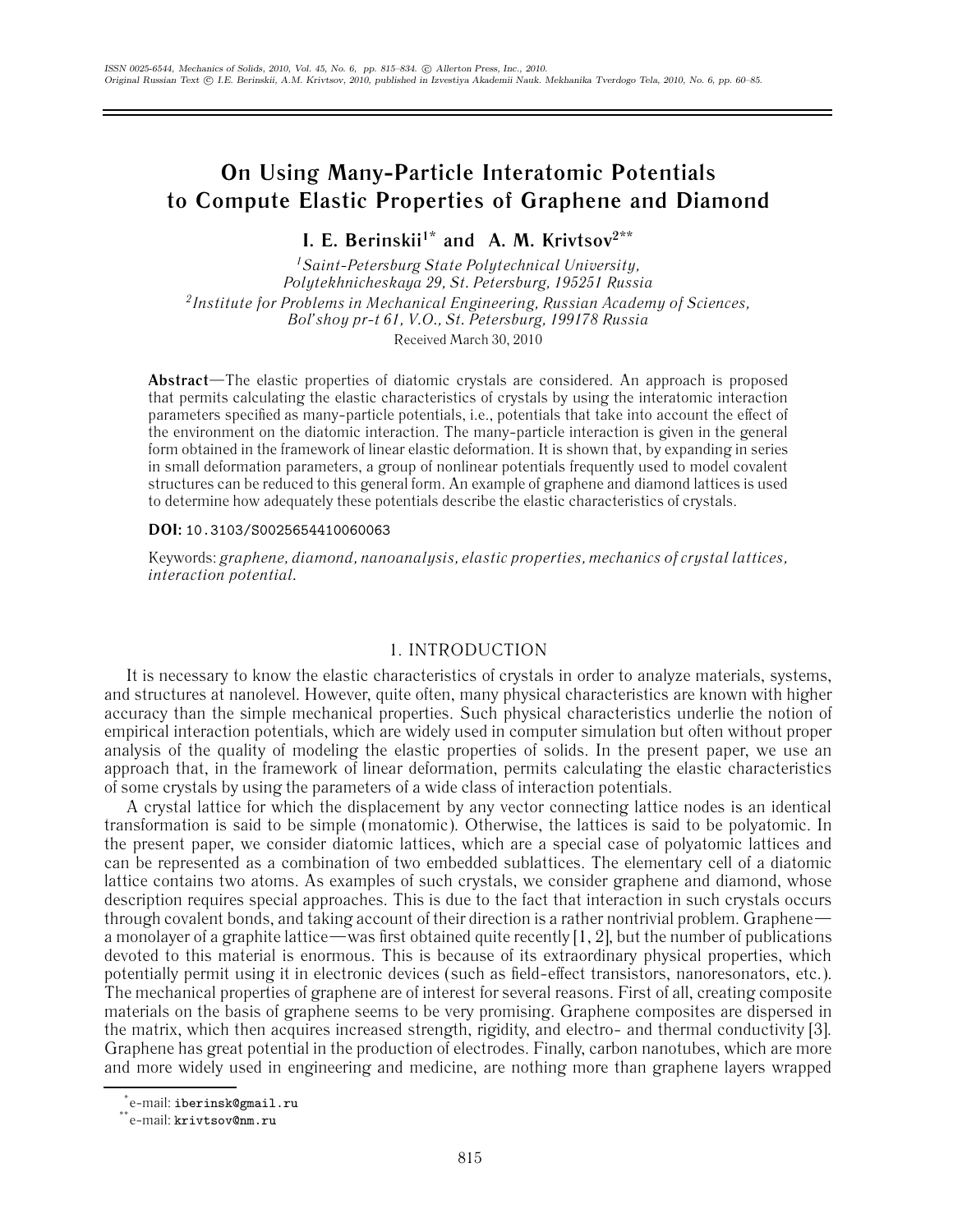# **On Using Many-Particle Interatomic Potentials to Compute Elastic Properties of Graphene and Diamond**

**I. E. Berinskii1\* and A. M. Krivtsov2\*\***

*1Saint-Petersburg State Polytechnical University, Polytekhnicheskaya 29, St. Petersburg, 195251 Russia 2Institute for Problems in Mechanical Engineering, Russian Academy of Sciences, Bol'shoy pr-t 61, V.O., St. Petersburg, 199178 Russia* Received March 30, 2010

**Abstract**—The elastic properties of diatomic crystals are considered. An approach is proposed that permits calculating the elastic characteristics of crystals by using the interatomic interaction parameters specified as many-particle potentials, i.e., potentials that take into account the effect of the environment on the diatomic interaction. The many-particle interaction is given in the general form obtained in the framework of linear elastic deformation. It is shown that, by expanding in series in small deformation parameters, a group of nonlinear potentials frequently used to model covalent structures can be reduced to this general form. An example of graphene and diamond lattices is used to determine how adequately these potentials describe the elastic characteristics of crystals.

#### **DOI:** 10.3103/S0025654410060063

Keywords: *graphene, diamond, nanoanalysis, elastic properties, mechanics of crystal lattices, interaction potential.*

# 1. INTRODUCTION

It is necessary to know the elastic characteristics of crystals in order to analyze materials, systems, and structures at nanolevel. However, quite often, many physical characteristics are known with higher accuracy than the simple mechanical properties. Such physical characteristics underlie the notion of empirical interaction potentials, which are widely used in computer simulation but often without proper analysis of the quality of modeling the elastic properties of solids. In the present paper, we use an approach that, in the framework of linear deformation, permits calculating the elastic characteristics of some crystals by using the parameters of a wide class of interaction potentials.

A crystal lattice for which the displacement by any vector connecting lattice nodes is an identical transformation is said to be simple (monatomic). Otherwise, the lattices is said to be polyatomic. In the present paper, we consider diatomic lattices, which are a special case of polyatomic lattices and can be represented as a combination of two embedded sublattices. The elementary cell of a diatomic lattice contains two atoms. As examples of such crystals, we consider graphene and diamond, whose description requires special approaches. This is due to the fact that interaction in such crystals occurs through covalent bonds, and taking account of their direction is a rather nontrivial problem. Graphene a monolayer of a graphite lattice—was first obtained quite recently  $[1, 2]$ , but the number of publications devoted to this material is enormous. This is because of its extraordinary physical properties, which potentially permit using it in electronic devices (such as field-effect transistors, nanoresonators, etc.). The mechanical properties of graphene are of interest for several reasons. First of all, creating composite materials on the basis of graphene seems to be very promising. Graphene composites are dispersed in the matrix, which then acquires increased strength, rigidity, and electro- and thermal conductivity [3]. Graphene has great potential in the production of electrodes. Finally, carbon nanotubes, which are more and more widely used in engineering and medicine, are nothing more than graphene layers wrapped

<sup>\*</sup> e-mail: iberinsk@gmail.ru

<sup>\*\*</sup>e-mail: krivtsov@nm.ru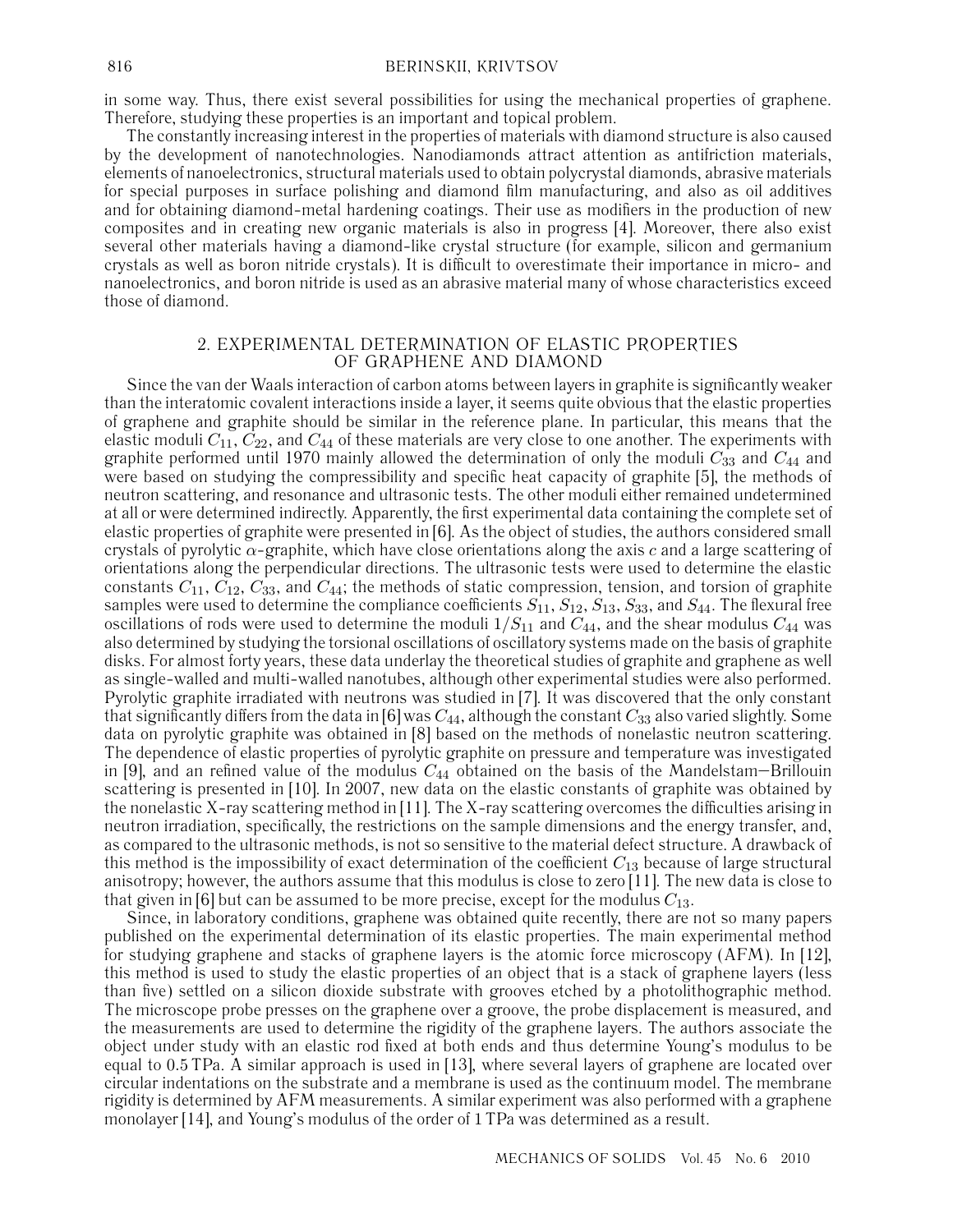in some way. Thus, there exist several possibilities for using the mechanical properties of graphene. Therefore, studying these properties is an important and topical problem.

The constantly increasing interest in the properties of materials with diamond structure is also caused by the development of nanotechnologies. Nanodiamonds attract attention as antifriction materials, elements of nanoelectronics, structural materials used to obtain polycrystal diamonds, abrasive materials for special purposes in surface polishing and diamond film manufacturing, and also as oil additives and for obtaining diamond-metal hardening coatings. Their use as modifiers in the production of new composites and in creating new organic materials is also in progress [4]. Moreover, there also exist several other materials having a diamond-like crystal structure (for example, silicon and germanium crystals as well as boron nitride crystals). It is difficult to overestimate their importance in micro- and nanoelectronics, and boron nitride is used as an abrasive material many of whose characteristics exceed those of diamond.

### 2. EXPERIMENTAL DETERMINATION OF ELASTIC PROPERTIES OF GRAPHENE AND DIAMOND

Since the van der Waals interaction of carbon atoms between layers in graphite is significantly weaker than the interatomic covalent interactions inside a layer, it seems quite obvious that the elastic properties of graphene and graphite should be similar in the reference plane. In particular, this means that the elastic moduli  $C_{11}$ ,  $C_{22}$ , and  $C_{44}$  of these materials are very close to one another. The experiments with graphite performed until 1970 mainly allowed the determination of only the moduli  $C_{33}$  and  $C_{44}$  and were based on studying the compressibility and specific heat capacity of graphite [5], the methods of neutron scattering, and resonance and ultrasonic tests. The other moduli either remained undetermined at all or were determined indirectly. Apparently, the first experimental data containing the complete set of elastic properties of graphite were presented in [6]. As the object of studies, the authors considered small crystals of pyrolytic  $\alpha$ -graphite, which have close orientations along the axis c and a large scattering of orientations along the perpendicular directions. The ultrasonic tests were used to determine the elastic constants  $C_{11}$ ,  $C_{12}$ ,  $C_{33}$ , and  $C_{44}$ ; the methods of static compression, tension, and torsion of graphite samples were used to determine the compliance coefficients  $S_{11}$ ,  $S_{12}$ ,  $S_{13}$ ,  $S_{33}$ , and  $S_{44}$ . The flexural free oscillations of rods were used to determine the moduli  $1/S_{11}$  and  $C_{44}$ , and the shear modulus  $C_{44}$  was also determined by studying the torsional oscillations of oscillatory systems made on the basis of graphite disks. For almost forty years, these data underlay the theoretical studies of graphite and graphene as well as single-walled and multi-walled nanotubes, although other experimental studies were also performed. Pyrolytic graphite irradiated with neutrons was studied in [7]. It was discovered that the only constant that significantly differs from the data in [6] was  $C_{44}$ , although the constant  $C_{33}$  also varied slightly. Some data on pyrolytic graphite was obtained in [8] based on the methods of nonelastic neutron scattering. The dependence of elastic properties of pyrolytic graphite on pressure and temperature was investigated in [9], and an refined value of the modulus  $C_{44}$  obtained on the basis of the Mandelstam–Brillouin scattering is presented in [10]. In 2007, new data on the elastic constants of graphite was obtained by the nonelastic X-ray scattering method in [11]. The X-ray scattering overcomes the difficulties arising in neutron irradiation, specifically, the restrictions on the sample dimensions and the energy transfer, and, as compared to the ultrasonic methods, is not so sensitive to the material defect structure. A drawback of this method is the impossibility of exact determination of the coefficient  $C_{13}$  because of large structural anisotropy; however, the authors assume that this modulus is close to zero [11]. The new data is close to that given in [6] but can be assumed to be more precise, except for the modulus  $C_{13}$ .

Since, in laboratory conditions, graphene was obtained quite recently, there are not so many papers published on the experimental determination of its elastic properties. The main experimental method for studying graphene and stacks of graphene layers is the atomic force microscopy (AFM). In [12], this method is used to study the elastic properties of an object that is a stack of graphene layers (less than five) settled on a silicon dioxide substrate with grooves etched by a photolithographic method. The microscope probe presses on the graphene over a groove, the probe displacement is measured, and the measurements are used to determine the rigidity of the graphene layers. The authors associate the object under study with an elastic rod fixed at both ends and thus determine Young's modulus to be equal to 0.5 TPa. A similar approach is used in [13], where several layers of graphene are located over circular indentations on the substrate and a membrane is used as the continuum model. The membrane rigidity is determined by AFM measurements. A similar experiment was also performed with a graphene monolayer [14], and Young's modulus of the order of 1 TPa was determined as a result.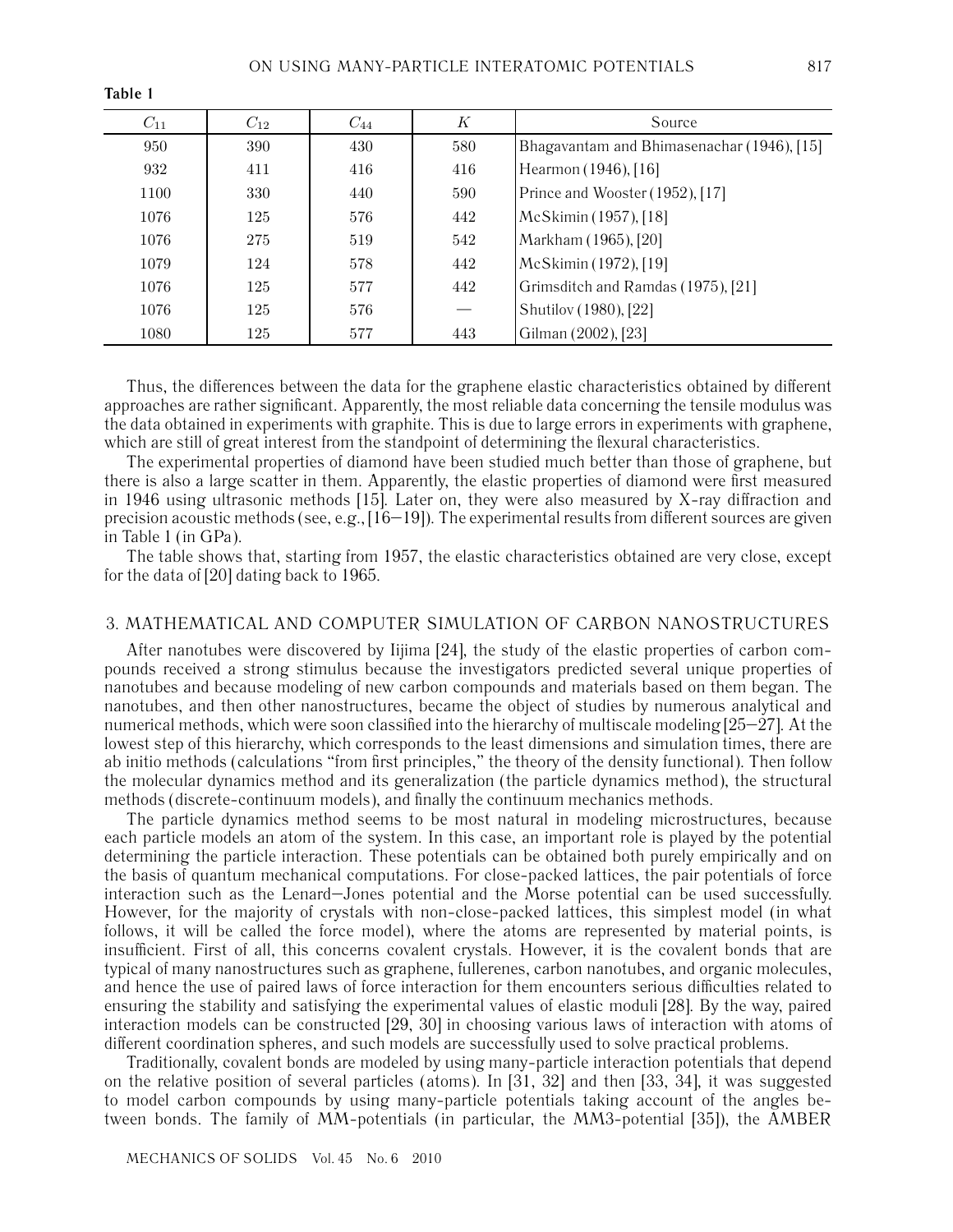| $C_{11}$ | $C_{12}$ | $C_{44}$ | К   | Source                                     |
|----------|----------|----------|-----|--------------------------------------------|
| 950      | 390      | 430      | 580 | Bhagavantam and Bhimasenachar (1946), [15] |
| 932      | 411      | 416      | 416 | Hearmon (1946), [16]                       |
| 1100     | 330      | 440      | 590 | Prince and Wooster (1952), [17]            |
| 1076     | 125      | 576      | 442 | McSkimin (1957), [18]                      |
| 1076     | 275      | 519      | 542 | Markham (1965), [20]                       |
| 1079     | 124      | 578      | 442 | McSkimin (1972), [19]                      |
| 1076     | 125      | 577      | 442 | Grimsditch and Ramdas (1975), [21]         |
| 1076     | 125      | 576      |     | Shutilov (1980), [22]                      |
| 1080     | 125      | 577      | 443 | Gilman (2002), [23]                        |

Thus, the differences between the data for the graphene elastic characteristics obtained by different approaches are rather significant. Apparently, the most reliable data concerning the tensile modulus was the data obtained in experiments with graphite. This is due to large errors in experiments with graphene, which are still of great interest from the standpoint of determining the flexural characteristics.

The experimental properties of diamond have been studied much better than those of graphene, but there is also a large scatter in them. Apparently, the elastic properties of diamond were first measured in 1946 using ultrasonic methods [15]. Later on, they were also measured by X-ray diffraction and precision acoustic methods (see, e.g.,  $[16-19]$ ). The experimental results from different sources are given in Table 1 (in GPa).

The table shows that, starting from 1957, the elastic characteristics obtained are very close, except for the data of [20] dating back to 1965.

## 3. MATHEMATICAL AND COMPUTER SIMULATION OF CARBON NANOSTRUCTURES

After nanotubes were discovered by Iijima [24], the study of the elastic properties of carbon compounds received a strong stimulus because the investigators predicted several unique properties of nanotubes and because modeling of new carbon compounds and materials based on them began. The nanotubes, and then other nanostructures, became the object of studies by numerous analytical and numerical methods, which were soon classified into the hierarchy of multiscale modeling [25–27]. At the lowest step of this hierarchy, which corresponds to the least dimensions and simulation times, there are ab initio methods (calculations "from first principles," the theory of the density functional). Then follow the molecular dynamics method and its generalization (the particle dynamics method), the structural methods (discrete-continuum models), and finally the continuum mechanics methods.

The particle dynamics method seems to be most natural in modeling microstructures, because each particle models an atom of the system. In this case, an important role is played by the potential determining the particle interaction. These potentials can be obtained both purely empirically and on the basis of quantum mechanical computations. For close-packed lattices, the pair potentials of force interaction such as the Lenard–Jones potential and the Morse potential can be used successfully. However, for the majority of crystals with non-close-packed lattices, this simplest model (in what follows, it will be called the force model), where the atoms are represented by material points, is insufficient. First of all, this concerns covalent crystals. However, it is the covalent bonds that are typical of many nanostructures such as graphene, fullerenes, carbon nanotubes, and organic molecules, and hence the use of paired laws of force interaction for them encounters serious difficulties related to ensuring the stability and satisfying the experimental values of elastic moduli [28]. By the way, paired interaction models can be constructed [29, 30] in choosing various laws of interaction with atoms of different coordination spheres, and such models are successfully used to solve practical problems.

Traditionally, covalent bonds are modeled by using many-particle interaction potentials that depend on the relative position of several particles (atoms). In [31, 32] and then [33, 34], it was suggested to model carbon compounds by using many-particle potentials taking account of the angles between bonds. The family of MM-potentials (in particular, the MM3-potential [35]), the AMBER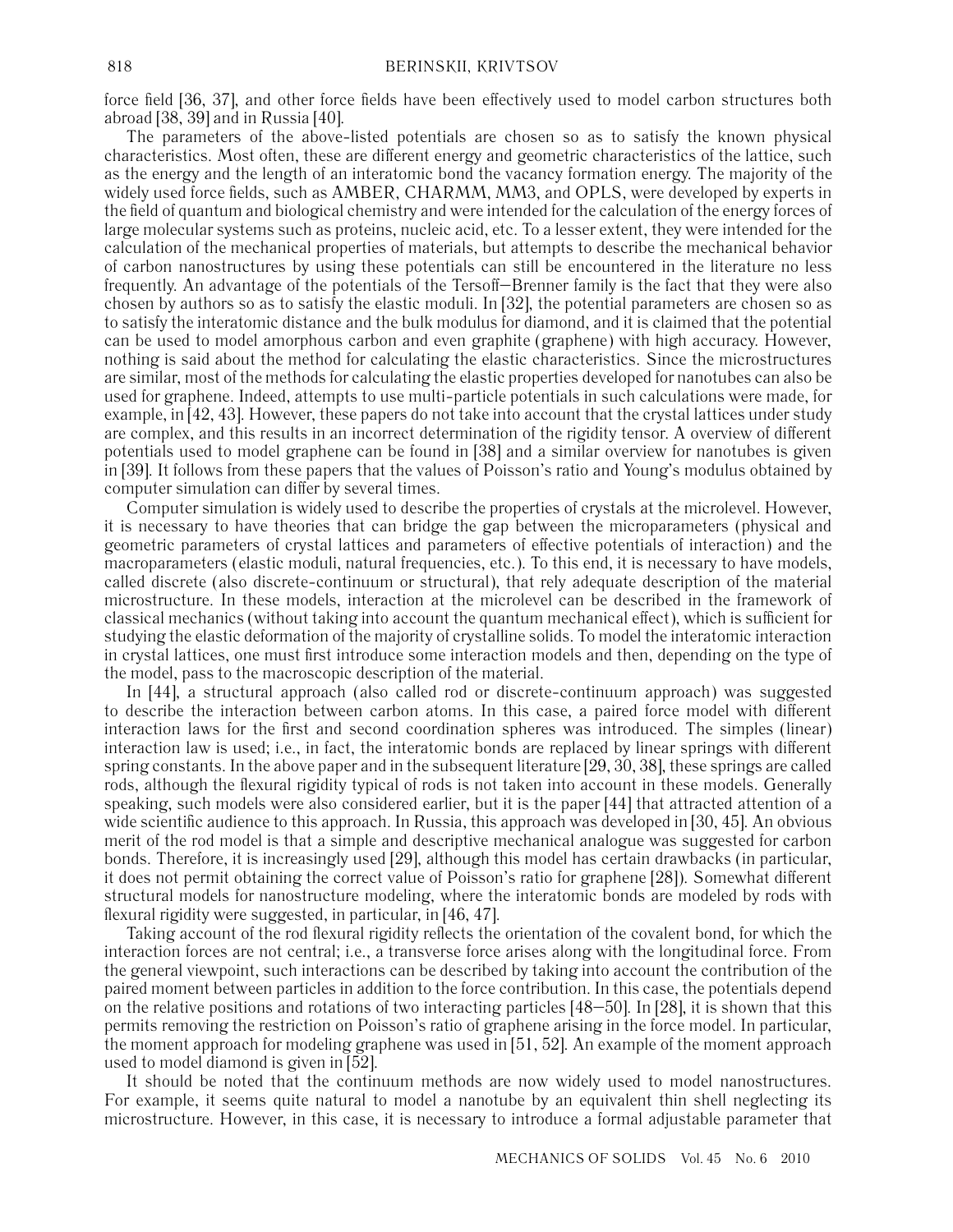force field [36, 37], and other force fields have been effectively used to model carbon structures both abroad [38, 39] and in Russia [40].

The parameters of the above-listed potentials are chosen so as to satisfy the known physical characteristics. Most often, these are different energy and geometric characteristics of the lattice, such as the energy and the length of an interatomic bond the vacancy formation energy. The majority of the widely used force fields, such as AMBER, CHARMM, MM3, and OPLS, were developed by experts in the field of quantum and biological chemistry and were intended for the calculation of the energy forces of large molecular systems such as proteins, nucleic acid, etc. To a lesser extent, they were intended for the calculation of the mechanical properties of materials, but attempts to describe the mechanical behavior of carbon nanostructures by using these potentials can still be encountered in the literature no less frequently. An advantage of the potentials of the Tersoff–Brenner family is the fact that they were also chosen by authors so as to satisfy the elastic moduli. In [32], the potential parameters are chosen so as to satisfy the interatomic distance and the bulk modulus for diamond, and it is claimed that the potential can be used to model amorphous carbon and even graphite (graphene) with high accuracy. However, nothing is said about the method for calculating the elastic characteristics. Since the microstructures are similar, most of the methods for calculating the elastic properties developed for nanotubes can also be used for graphene. Indeed, attempts to use multi-particle potentials in such calculations were made, for example, in [42, 43]. However, these papers do not take into account that the crystal lattices under study are complex, and this results in an incorrect determination of the rigidity tensor. A overview of different potentials used to model graphene can be found in [38] and a similar overview for nanotubes is given in [39]. It follows from these papers that the values of Poisson's ratio and Young's modulus obtained by computer simulation can differ by several times.

Computer simulation is widely used to describe the properties of crystals at the microlevel. However, it is necessary to have theories that can bridge the gap between the microparameters (physical and geometric parameters of crystal lattices and parameters of effective potentials of interaction) and the macroparameters (elastic moduli, natural frequencies, etc.). To this end, it is necessary to have models, called discrete (also discrete-continuum or structural), that rely adequate description of the material microstructure. In these models, interaction at the microlevel can be described in the framework of classical mechanics (without taking into account the quantum mechanical effect), which is sufficient for studying the elastic deformation of the majority of crystalline solids. To model the interatomic interaction in crystal lattices, one must first introduce some interaction models and then, depending on the type of the model, pass to the macroscopic description of the material.

In [44], a structural approach (also called rod or discrete-continuum approach) was suggested to describe the interaction between carbon atoms. In this case, a paired force model with different interaction laws for the first and second coordination spheres was introduced. The simples (linear) interaction law is used; i.e., in fact, the interatomic bonds are replaced by linear springs with different spring constants. In the above paper and in the subsequent literature [29, 30, 38], these springs are called rods, although the flexural rigidity typical of rods is not taken into account in these models. Generally speaking, such models were also considered earlier, but it is the paper [44] that attracted attention of a wide scientific audience to this approach. In Russia, this approach was developed in [30, 45]. An obvious merit of the rod model is that a simple and descriptive mechanical analogue was suggested for carbon bonds. Therefore, it is increasingly used [29], although this model has certain drawbacks (in particular, it does not permit obtaining the correct value of Poisson's ratio for graphene [28]). Somewhat different structural models for nanostructure modeling, where the interatomic bonds are modeled by rods with flexural rigidity were suggested, in particular, in [46, 47].

Taking account of the rod flexural rigidity reflects the orientation of the covalent bond, for which the interaction forces are not central; i.e., a transverse force arises along with the longitudinal force. From the general viewpoint, such interactions can be described by taking into account the contribution of the paired moment between particles in addition to the force contribution. In this case, the potentials depend on the relative positions and rotations of two interacting particles [48–50]. In [28], it is shown that this permits removing the restriction on Poisson's ratio of graphene arising in the force model. In particular, the moment approach for modeling graphene was used in [51, 52]. An example of the moment approach used to model diamond is given in [52].

It should be noted that the continuum methods are now widely used to model nanostructures. For example, it seems quite natural to model a nanotube by an equivalent thin shell neglecting its microstructure. However, in this case, it is necessary to introduce a formal adjustable parameter that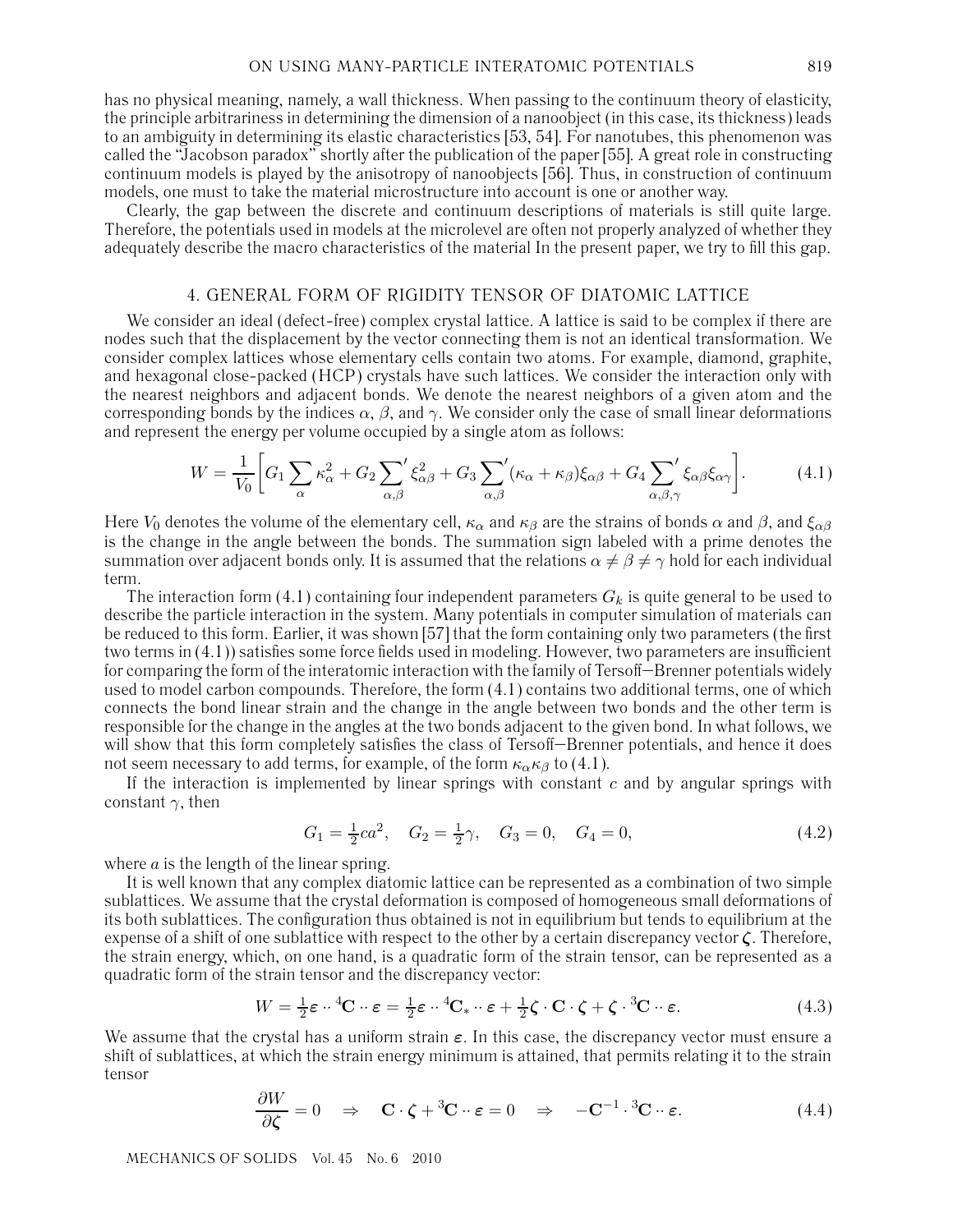has no physical meaning, namely, a wall thickness. When passing to the continuum theory of elasticity, the principle arbitrariness in determining the dimension of a nanoobject (in this case, its thickness) leads to an ambiguity in determining its elastic characteristics [53, 54]. For nanotubes, this phenomenon was called the "Jacobson paradox" shortly after the publication of the paper [55]. A great role in constructing continuum models is played by the anisotropy of nanoobjects [56]. Thus, in construction of continuum models, one must to take the material microstructure into account is one or another way.

Clearly, the gap between the discrete and continuum descriptions of materials is still quite large. Therefore, the potentials used in models at the microlevel are often not properly analyzed of whether they adequately describe the macro characteristics of the material In the present paper, we try to fill this gap.

### 4. GENERAL FORM OF RIGIDITY TENSOR OF DIATOMIC LATTICE

We consider an ideal (defect-free) complex crystal lattice. A lattice is said to be complex if there are nodes such that the displacement by the vector connecting them is not an identical transformation. We consider complex lattices whose elementary cells contain two atoms. For example, diamond, graphite, and hexagonal close-packed (HCP) crystals have such lattices. We consider the interaction only with the nearest neighbors and adjacent bonds. We denote the nearest neighbors of a given atom and the corresponding bonds by the indices  $\alpha$ ,  $\beta$ , and  $\gamma$ . We consider only the case of small linear deformations and represent the energy per volume occupied by a single atom as follows:

$$
W = \frac{1}{V_0} \left[ G_1 \sum_{\alpha} \kappa_{\alpha}^2 + G_2 \sum_{\alpha,\beta}^{\prime} \xi_{\alpha\beta}^2 + G_3 \sum_{\alpha,\beta}^{\prime} (\kappa_{\alpha} + \kappa_{\beta}) \xi_{\alpha\beta} + G_4 \sum_{\alpha,\beta,\gamma}^{\prime} \xi_{\alpha\beta} \xi_{\alpha\gamma} \right].
$$
 (4.1)

Here  $V_0$  denotes the volume of the elementary cell,  $\kappa_\alpha$  and  $\kappa_\beta$  are the strains of bonds  $\alpha$  and  $\beta$ , and  $\xi_{\alpha\beta}$ is the change in the angle between the bonds. The summation sign labeled with a prime denotes the summation over adjacent bonds only. It is assumed that the relations  $\alpha\neq\beta\neq\gamma$  hold for each individual term.

The interaction form (4.1) containing four independent parameters  $G_k$  is quite general to be used to describe the particle interaction in the system. Many potentials in computer simulation of materials can be reduced to this form. Earlier, it was shown [57] that the form containing only two parameters (the first two terms in (4.1)) satisfies some force fields used in modeling. However, two parameters are insufficient for comparing the form of the interatomic interaction with the family of Tersoff–Brenner potentials widely used to model carbon compounds. Therefore, the form (4.1) contains two additional terms, one of which connects the bond linear strain and the change in the angle between two bonds and the other term is responsible for the change in the angles at the two bonds adjacent to the given bond. In what follows, we will show that this form completely satisfies the class of Tersoff–Brenner potentials, and hence it does not seem necessary to add terms, for example, of the form  $\kappa_{\alpha}\kappa_{\beta}$  to (4.1).

If the interaction is implemented by linear springs with constant  $c$  and by angular springs with constant  $\gamma$ , then

$$
G_1 = \frac{1}{2}ca^2, \quad G_2 = \frac{1}{2}\gamma, \quad G_3 = 0, \quad G_4 = 0,
$$
\n(4.2)

where  $a$  is the length of the linear spring.

It is well known that any complex diatomic lattice can be represented as a combination of two simple sublattices. We assume that the crystal deformation is composed of homogeneous small deformations of its both sublattices. The configuration thus obtained is not in equilibrium but tends to equilibrium at the expense of a shift of one sublattice with respect to the other by a certain discrepancy vector *ζ*. Therefore, the strain energy, which, on one hand, is a quadratic form of the strain tensor, can be represented as a quadratic form of the strain tensor and the discrepancy vector:

$$
W = \frac{1}{2}\boldsymbol{\varepsilon} \cdot {}^{4}\mathbf{C} \cdot \boldsymbol{\varepsilon} = \frac{1}{2}\boldsymbol{\varepsilon} \cdot {}^{4}\mathbf{C}_{*} \cdot \boldsymbol{\varepsilon} + \frac{1}{2}\boldsymbol{\zeta} \cdot \mathbf{C} \cdot \boldsymbol{\zeta} + \boldsymbol{\zeta} \cdot {}^{3}\mathbf{C} \cdot \boldsymbol{\varepsilon}.
$$
 (4.3)

We assume that the crystal has a uniform strain *ε*. In this case, the discrepancy vector must ensure a shift of sublattices, at which the strain energy minimum is attained, that permits relating it to the strain tensor

$$
\frac{\partial W}{\partial \zeta} = 0 \quad \Rightarrow \quad \mathbf{C} \cdot \zeta + \mathbf{C} \cdot \mathbf{c} = 0 \quad \Rightarrow \quad -\mathbf{C}^{-1} \cdot \mathbf{C} \cdot \mathbf{c}.
$$
 (4.4)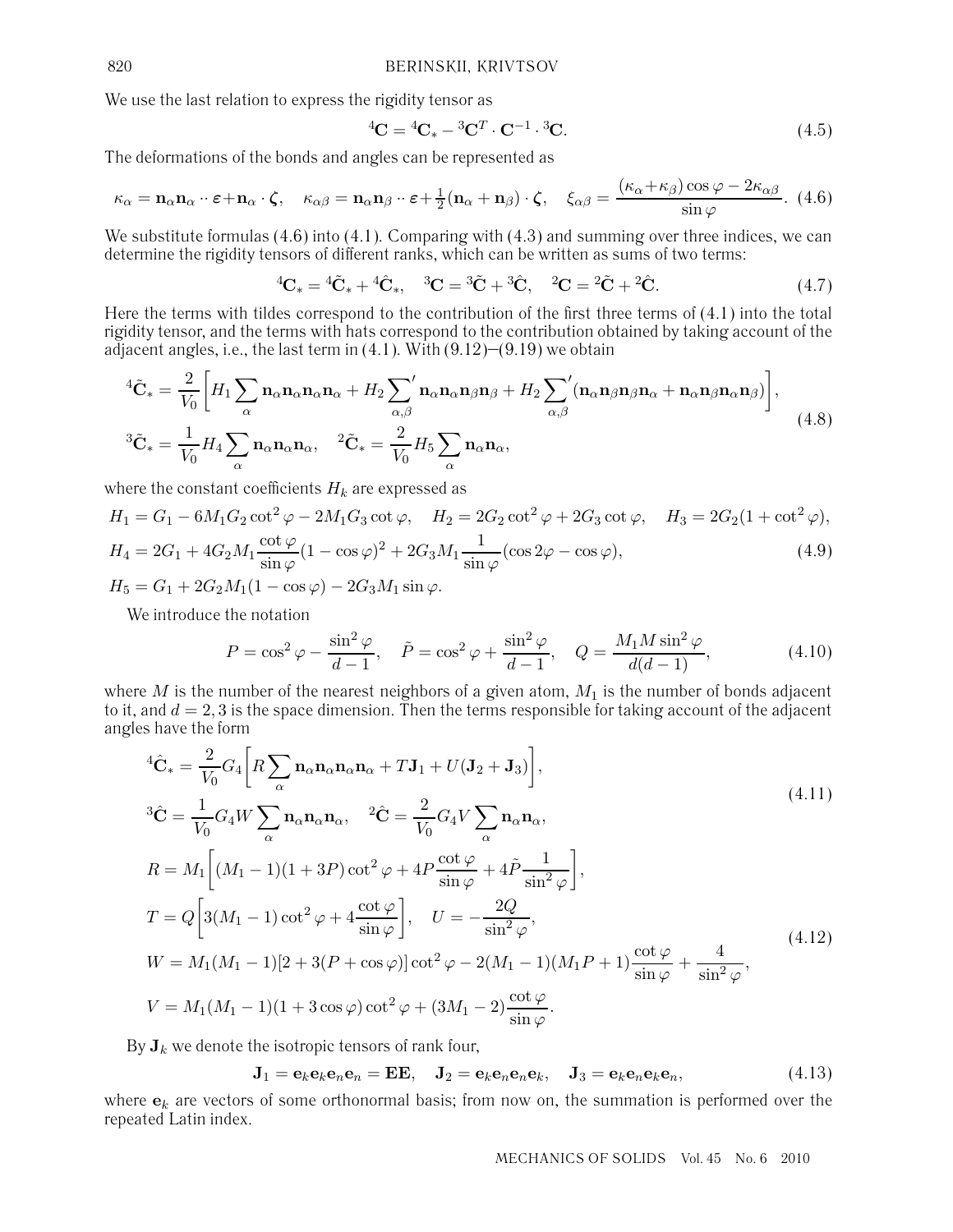We use the last relation to express the rigidity tensor as

$$
{}^{4}\mathbf{C} = {}^{4}\mathbf{C}_{*} - {}^{3}\mathbf{C}^{T} \cdot \mathbf{C}^{-1} \cdot {}^{3}\mathbf{C}.
$$
 (4.5)

The deformations of the bonds and angles can be represented as

$$
\kappa_{\alpha} = \mathbf{n}_{\alpha} \mathbf{n}_{\alpha} \cdot \boldsymbol{\varepsilon} + \mathbf{n}_{\alpha} \cdot \boldsymbol{\zeta}, \quad \kappa_{\alpha\beta} = \mathbf{n}_{\alpha} \mathbf{n}_{\beta} \cdot \boldsymbol{\varepsilon} + \frac{1}{2} (\mathbf{n}_{\alpha} + \mathbf{n}_{\beta}) \cdot \boldsymbol{\zeta}, \quad \xi_{\alpha\beta} = \frac{(\kappa_{\alpha} + \kappa_{\beta}) \cos \varphi - 2\kappa_{\alpha\beta}}{\sin \varphi}. \tag{4.6}
$$

We substitute formulas (4.6) into (4.1). Comparing with (4.3) and summing over three indices, we can determine the rigidity tensors of different ranks, which can be written as sums of two terms:

$$
{}^{4}C_{*} = {}^{4}\tilde{C}_{*} + {}^{4}\hat{C}_{*}, \quad {}^{3}C = {}^{3}\tilde{C} + {}^{3}\hat{C}, \quad {}^{2}C = {}^{2}\tilde{C} + {}^{2}\hat{C}.
$$
 (4.7)

Here the terms with tildes correspond to the contribution of the first three terms of (4.1) into the total rigidity tensor, and the terms with hats correspond to the contribution obtained by taking account of the adjacent angles, i.e., the last term in  $(4.1)$ . With  $(9.12)$ – $(9.19)$  we obtain

$$
{}^{4}\tilde{\mathbf{C}}_{*} = \frac{2}{V_{0}} \bigg[ H_{1} \sum_{\alpha} \mathbf{n}_{\alpha} \mathbf{n}_{\alpha} \mathbf{n}_{\alpha} + H_{2} \sum_{\alpha,\beta}^{\prime} \mathbf{n}_{\alpha} \mathbf{n}_{\alpha} \mathbf{n}_{\beta} \mathbf{n}_{\beta} + H_{2} \sum_{\alpha,\beta}^{\prime} (\mathbf{n}_{\alpha} \mathbf{n}_{\beta} \mathbf{n}_{\beta} \mathbf{n}_{\alpha} + \mathbf{n}_{\alpha} \mathbf{n}_{\beta} \mathbf{n}_{\alpha} \mathbf{n}_{\beta}) \bigg],
$$
  

$$
{}^{3}\tilde{\mathbf{C}}_{*} = \frac{1}{V_{0}} H_{4} \sum_{\alpha} \mathbf{n}_{\alpha} \mathbf{n}_{\alpha} \mathbf{n}_{\alpha}, \quad {}^{2}\tilde{\mathbf{C}}_{*} = \frac{2}{V_{0}} H_{5} \sum_{\alpha} \mathbf{n}_{\alpha} \mathbf{n}_{\alpha},
$$
 (4.8)

where the constant coefficients  $H_k$  are expressed as

$$
H_1 = G_1 - 6M_1G_2 \cot^2 \varphi - 2M_1G_3 \cot \varphi, \quad H_2 = 2G_2 \cot^2 \varphi + 2G_3 \cot \varphi, \quad H_3 = 2G_2(1 + \cot^2 \varphi),
$$
  
\n
$$
H_4 = 2G_1 + 4G_2M_1 \frac{\cot \varphi}{\sin \varphi} (1 - \cos \varphi)^2 + 2G_3M_1 \frac{1}{\sin \varphi} (\cos 2\varphi - \cos \varphi),
$$
  
\n
$$
H_5 = G_1 + 2G_2M_1(1 - \cos \varphi) - 2G_3M_1 \sin \varphi.
$$
\n(4.9)

We introduce the notation

$$
P = \cos^2 \varphi - \frac{\sin^2 \varphi}{d - 1}, \quad \tilde{P} = \cos^2 \varphi + \frac{\sin^2 \varphi}{d - 1}, \quad Q = \frac{M_1 M \sin^2 \varphi}{d(d - 1)},
$$
(4.10)

where  $M$  is the number of the nearest neighbors of a given atom,  $M_1$  is the number of bonds adjacent to it, and  $d = 2, 3$  is the space dimension. Then the terms responsible for taking account of the adjacent angles have the form

$$
{}^{4}\hat{\mathbf{C}}_{*} = \frac{2}{V_{0}} G_{4} \left[ R \sum_{\alpha} \mathbf{n}_{\alpha} \mathbf{n}_{\alpha} \mathbf{n}_{\alpha} + T \mathbf{J}_{1} + U(\mathbf{J}_{2} + \mathbf{J}_{3}) \right],
$$
\n
$$
{}^{3}\hat{\mathbf{C}} = \frac{1}{V_{0}} G_{4} W \sum_{\alpha} \mathbf{n}_{\alpha} \mathbf{n}_{\alpha}, \quad {}^{2}\hat{\mathbf{C}} = \frac{2}{V_{0}} G_{4} V \sum_{\alpha} \mathbf{n}_{\alpha} \mathbf{n}_{\alpha},
$$
\n
$$
R = M_{1} \left[ (M_{1} - 1)(1 + 3P) \cot^{2} \varphi + 4P \frac{\cot \varphi}{\sin \varphi} + 4\tilde{P} \frac{1}{\sin^{2} \varphi} \right],
$$
\n
$$
T = Q \left[ 3(M_{1} - 1) \cot^{2} \varphi + 4 \frac{\cot \varphi}{\sin \varphi} \right], \quad U = -\frac{2Q}{\sin^{2} \varphi},
$$
\n
$$
W = M_{1}(M_{1} - 1)[2 + 3(P + \cos \varphi)] \cot^{2} \varphi - 2(M_{1} - 1)(M_{1}P + 1) \frac{\cot \varphi}{\sin \varphi} + \frac{4}{\sin^{2} \varphi},
$$
\n
$$
V = M_{1}(M_{1} - 1)(1 + 3 \cos \varphi) \cot^{2} \varphi + (3M_{1} - 2) \frac{\cot \varphi}{\sin \varphi}.
$$
\n(4.12)

By  $J_k$  we denote the isotropic tensors of rank four,

$$
\mathbf{J}_1 = \mathbf{e}_k \mathbf{e}_k \mathbf{e}_n \mathbf{e}_n = \mathbf{E} \mathbf{E}, \quad \mathbf{J}_2 = \mathbf{e}_k \mathbf{e}_n \mathbf{e}_n \mathbf{e}_k, \quad \mathbf{J}_3 = \mathbf{e}_k \mathbf{e}_n \mathbf{e}_k \mathbf{e}_n,\tag{4.13}
$$

where  $e_k$  are vectors of some orthonormal basis; from now on, the summation is performed over the repeated Latin index.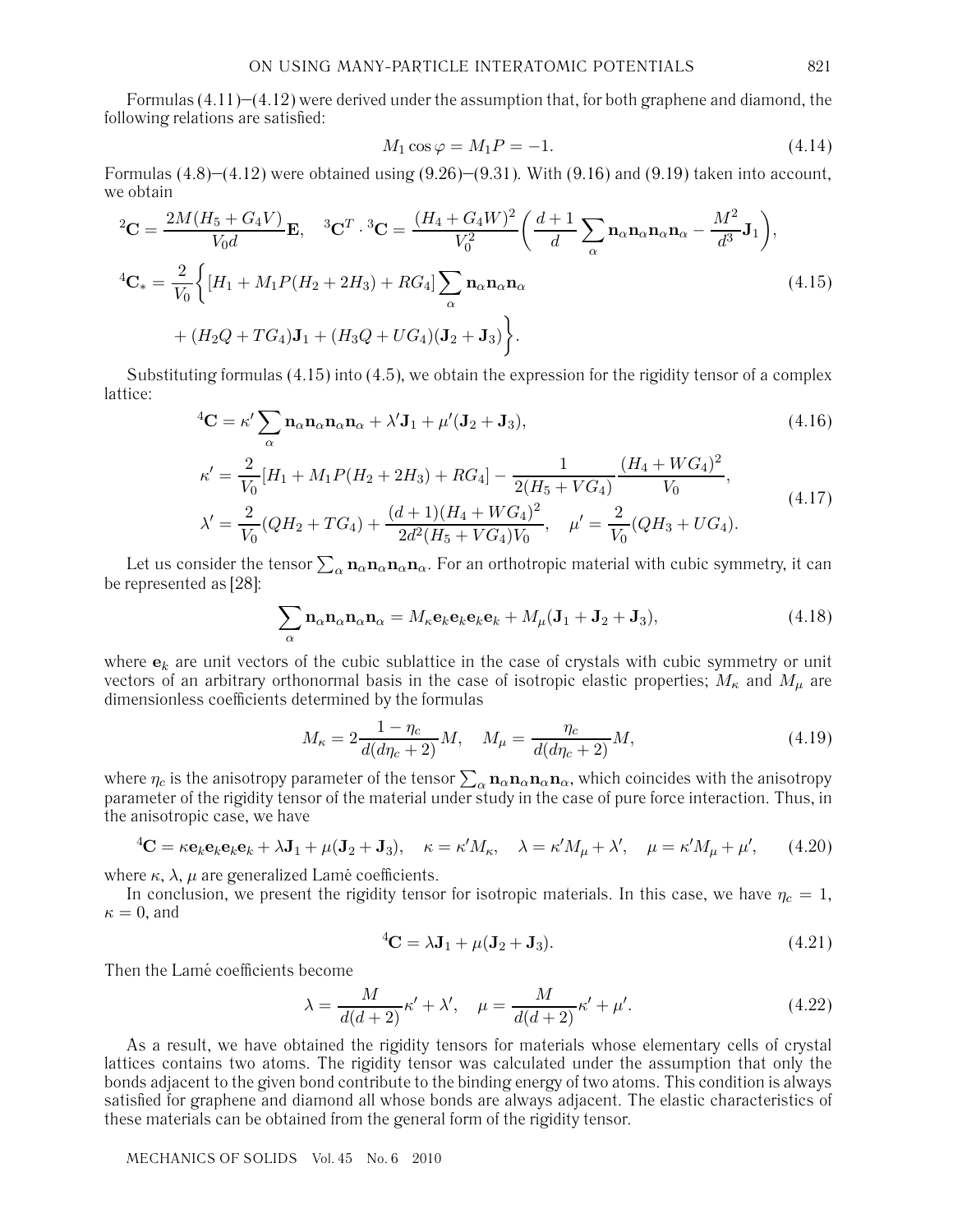Formulas  $(4.11)$ – $(4.12)$  were derived under the assumption that, for both graphene and diamond, the following relations are satisfied:

$$
M_1 \cos \varphi = M_1 P = -1. \tag{4.14}
$$

Formulas  $(4.8)$ – $(4.12)$  were obtained using  $(9.26)$ – $(9.31)$ . With  $(9.16)$  and  $(9.19)$  taken into account, we obtain

$$
{}^{2}\mathbf{C} = \frac{2M(H_{5} + G_{4}V)}{V_{0}d}\mathbf{E}, \quad {}^{3}\mathbf{C}^{T} \cdot {}^{3}\mathbf{C} = \frac{(H_{4} + G_{4}W)^{2}}{V_{0}^{2}} \left(\frac{d+1}{d} \sum_{\alpha} \mathbf{n}_{\alpha} \mathbf{n}_{\alpha} \mathbf{n}_{\alpha} \mathbf{n}_{\alpha} - \frac{M^{2}}{d^{3}} \mathbf{J}_{1}\right),
$$
  

$$
{}^{4}\mathbf{C}_{*} = \frac{2}{V_{0}} \left\{ [H_{1} + M_{1}P(H_{2} + 2H_{3}) + RG_{4}] \sum_{\alpha} \mathbf{n}_{\alpha} \mathbf{n}_{\alpha} \mathbf{n}_{\alpha}
$$
  

$$
+ (H_{2}Q + TG_{4})\mathbf{J}_{1} + (H_{3}Q + UG_{4})(\mathbf{J}_{2} + \mathbf{J}_{3}) \right\}.
$$
 (4.15)

Substituting formulas (4.15) into (4.5), we obtain the expression for the rigidity tensor of a complex lattice:

$$
{}^{4}\mathbf{C} = \kappa' \sum_{\alpha} \mathbf{n}_{\alpha} \mathbf{n}_{\alpha} \mathbf{n}_{\alpha} + \lambda' \mathbf{J}_{1} + \mu' (\mathbf{J}_{2} + \mathbf{J}_{3}), \tag{4.16}
$$

$$
\kappa' = \frac{2}{V_0} [H_1 + M_1 P(H_2 + 2H_3) + RG_4] - \frac{1}{2(H_5 + VG_4)} \frac{(H_4 + WG_4)^2}{V_0},
$$
  
\n
$$
\lambda' = \frac{2}{V_0} (QH_2 + TG_4) + \frac{(d+1)(H_4 + WG_4)^2}{2d^2(H_5 + VG_4)V_0}, \quad \mu' = \frac{2}{V_0} (QH_3 + UG_4).
$$
\n(4.17)

Let us consider the tensor  $\sum_\alpha\mathbf n_\alpha\mathbf n_\alpha\mathbf n_\alpha$ . For an orthotropic material with cubic symmetry, it can be represented as [28]:

$$
\sum_{\alpha} \mathbf{n}_{\alpha} \mathbf{n}_{\alpha} \mathbf{n}_{\alpha} \mathbf{n}_{\alpha} = M_{\kappa} \mathbf{e}_{k} \mathbf{e}_{k} \mathbf{e}_{k} + M_{\mu} (\mathbf{J}_{1} + \mathbf{J}_{2} + \mathbf{J}_{3}), \qquad (4.18)
$$

where  $\mathbf{e}_k$  are unit vectors of the cubic sublattice in the case of crystals with cubic symmetry or unit vectors of an arbitrary orthonormal basis in the case of isotropic elastic properties;  $M_{\kappa}$  and  $M_{\mu}$  are dimensionless coefficients determined by the formulas

$$
M_{\kappa} = 2 \frac{1 - \eta_c}{d(d\eta_c + 2)} M, \quad M_{\mu} = \frac{\eta_c}{d(d\eta_c + 2)} M,
$$
\n(4.19)

where  $\eta_c$  is the anisotropy parameter of the tensor  $\sum_\alpha\mathbf{n}_\alpha\mathbf{n}_\alpha\mathbf{n}_\alpha$ , which coincides with the anisotropy parameter of the rigidity tensor of the material under study in the case of pure force interaction. Thus, in the anisotropic case, we have

$$
{}^{4}\mathbf{C} = \kappa \mathbf{e}_{k} \mathbf{e}_{k} \mathbf{e}_{k} + \lambda \mathbf{J}_{1} + \mu (\mathbf{J}_{2} + \mathbf{J}_{3}), \quad \kappa = \kappa' M_{\kappa}, \quad \lambda = \kappa' M_{\mu} + \lambda', \quad \mu = \kappa' M_{\mu} + \mu', \tag{4.20}
$$

where  $\kappa$ ,  $\lambda$ ,  $\mu$  are generalized Lamé coefficients.

In conclusion, we present the rigidity tensor for isotropic materials. In this case, we have  $\eta_c = 1$ ,  $\kappa = 0$ , and

$$
{}^{4}\mathbf{C} = \lambda \mathbf{J}_{1} + \mu (\mathbf{J}_{2} + \mathbf{J}_{3}). \tag{4.21}
$$

Then the Lamé coefficients become

$$
\lambda = \frac{M}{d(d+2)} \kappa' + \lambda', \quad \mu = \frac{M}{d(d+2)} \kappa' + \mu'. \tag{4.22}
$$

As a result, we have obtained the rigidity tensors for materials whose elementary cells of crystal lattices contains two atoms. The rigidity tensor was calculated under the assumption that only the bonds adjacent to the given bond contribute to the binding energy of two atoms. This condition is always satisfied for graphene and diamond all whose bonds are always adjacent. The elastic characteristics of these materials can be obtained from the general form of the rigidity tensor.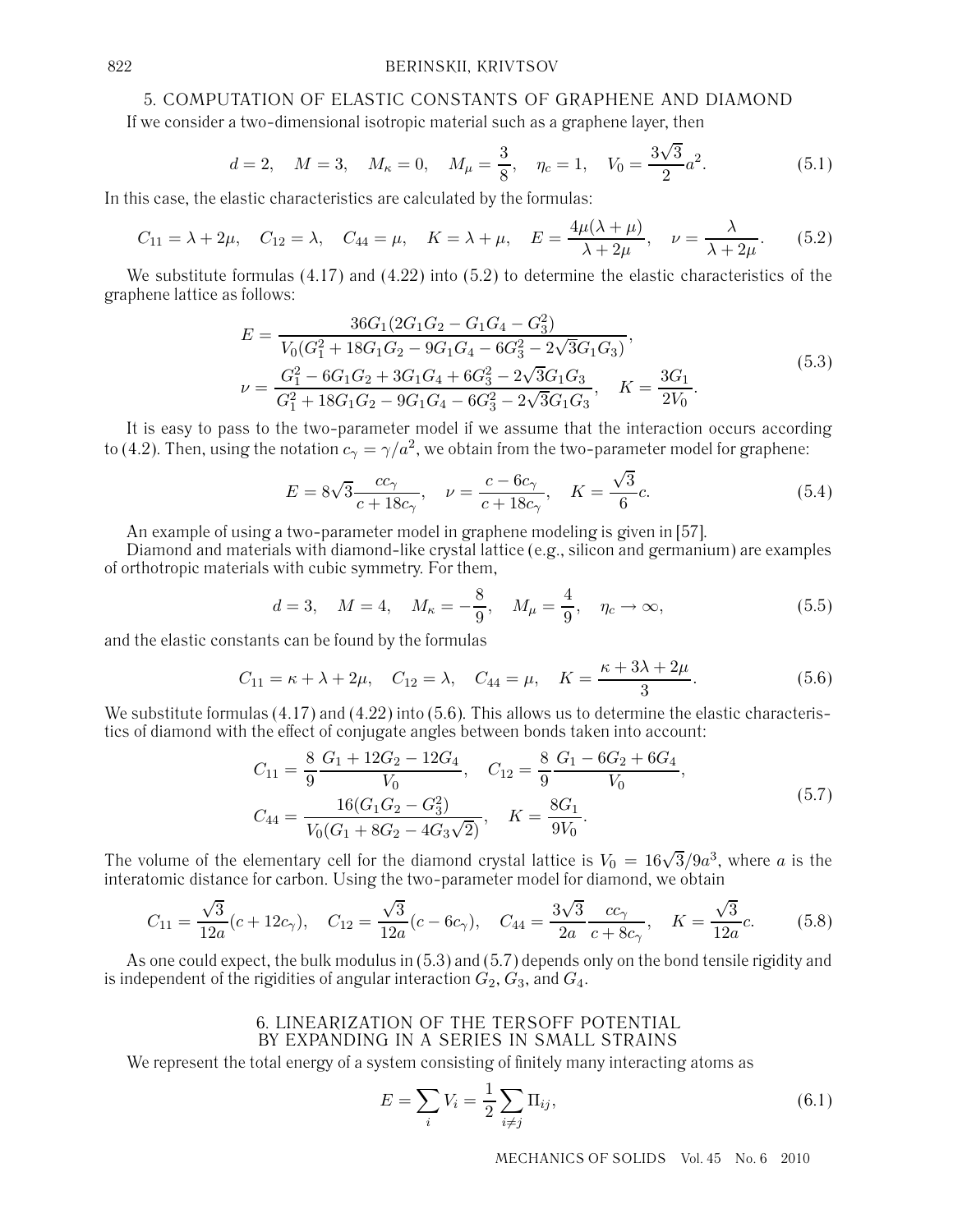## 5. COMPUTATION OF ELASTIC CONSTANTS OF GRAPHENE AND DIAMOND

If we consider a two-dimensional isotropic material such as a graphene layer, then

$$
d = 2
$$
,  $M = 3$ ,  $M_{\kappa} = 0$ ,  $M_{\mu} = \frac{3}{8}$ ,  $\eta_c = 1$ ,  $V_0 = \frac{3\sqrt{3}}{2}a^2$ . (5.1)

In this case, the elastic characteristics are calculated by the formulas:

$$
C_{11} = \lambda + 2\mu
$$
,  $C_{12} = \lambda$ ,  $C_{44} = \mu$ ,  $K = \lambda + \mu$ ,  $E = \frac{4\mu(\lambda + \mu)}{\lambda + 2\mu}$ ,  $\nu = \frac{\lambda}{\lambda + 2\mu}$ . (5.2)

We substitute formulas (4.17) and (4.22) into (5.2) to determine the elastic characteristics of the graphene lattice as follows:

$$
E = \frac{36G_1(2G_1G_2 - G_1G_4 - G_3^2)}{V_0(G_1^2 + 18G_1G_2 - 9G_1G_4 - 6G_3^2 - 2\sqrt{3}G_1G_3)},
$$
  
\n
$$
\nu = \frac{G_1^2 - 6G_1G_2 + 3G_1G_4 + 6G_3^2 - 2\sqrt{3}G_1G_3}{G_1^2 + 18G_1G_2 - 9G_1G_4 - 6G_3^2 - 2\sqrt{3}G_1G_3}, \quad K = \frac{3G_1}{2V_0}.
$$
\n(5.3)

It is easy to pass to the two-parameter model if we assume that the interaction occurs according to (4.2). Then, using the notation  $c_{\gamma} = \gamma/a^2$ , we obtain from the two-parameter model for graphene:

$$
E = 8\sqrt{3} \frac{cc_{\gamma}}{c + 18c_{\gamma}}, \quad \nu = \frac{c - 6c_{\gamma}}{c + 18c_{\gamma}}, \quad K = \frac{\sqrt{3}}{6}c.
$$
 (5.4)

An example of using a two-parameter model in graphene modeling is given in [57].

Diamond and materials with diamond-like crystal lattice (e.g., silicon and germanium) are examples of orthotropic materials with cubic symmetry. For them,

$$
d = 3
$$
,  $M = 4$ ,  $M_{\kappa} = -\frac{8}{9}$ ,  $M_{\mu} = \frac{4}{9}$ ,  $\eta_c \to \infty$ , (5.5)

and the elastic constants can be found by the formulas

$$
C_{11} = \kappa + \lambda + 2\mu
$$
,  $C_{12} = \lambda$ ,  $C_{44} = \mu$ ,  $K = \frac{\kappa + 3\lambda + 2\mu}{3}$ . (5.6)

We substitute formulas (4.17) and (4.22) into (5.6). This allows us to determine the elastic characteristics of diamond with the effect of conjugate angles between bonds taken into account:

$$
C_{11} = \frac{8}{9} \frac{G_1 + 12G_2 - 12G_4}{V_0}, \quad C_{12} = \frac{8}{9} \frac{G_1 - 6G_2 + 6G_4}{V_0},
$$
  
\n
$$
C_{44} = \frac{16(G_1G_2 - G_3^2)}{V_0(G_1 + 8G_2 - 4G_3\sqrt{2})}, \quad K = \frac{8G_1}{9V_0}.
$$
\n(5.7)

The volume of the elementary cell for the diamond crystal lattice is  $V_0 = 16\sqrt{3}/9a^3$ , where a is the interatomic distance for carbon. Using the two-parameter model for diamond, we obtain

$$
C_{11} = \frac{\sqrt{3}}{12a}(c + 12c_{\gamma}), \quad C_{12} = \frac{\sqrt{3}}{12a}(c - 6c_{\gamma}), \quad C_{44} = \frac{3\sqrt{3}}{2a} \frac{cc_{\gamma}}{c + 8c_{\gamma}}, \quad K = \frac{\sqrt{3}}{12a}c. \tag{5.8}
$$

As one could expect, the bulk modulus in (5.3) and (5.7) depends only on the bond tensile rigidity and is independent of the rigidities of angular interaction  $G_2, G_3$ , and  $G_4$ .

## 6. LINEARIZATION OF THE TERSOFF POTENTIAL BY EXPANDING IN A SERIES IN SMALL STRAINS

We represent the total energy of a system consisting of finitely many interacting atoms as

$$
E = \sum_{i} V_i = \frac{1}{2} \sum_{i \neq j} \Pi_{ij},
$$
\n(6.1)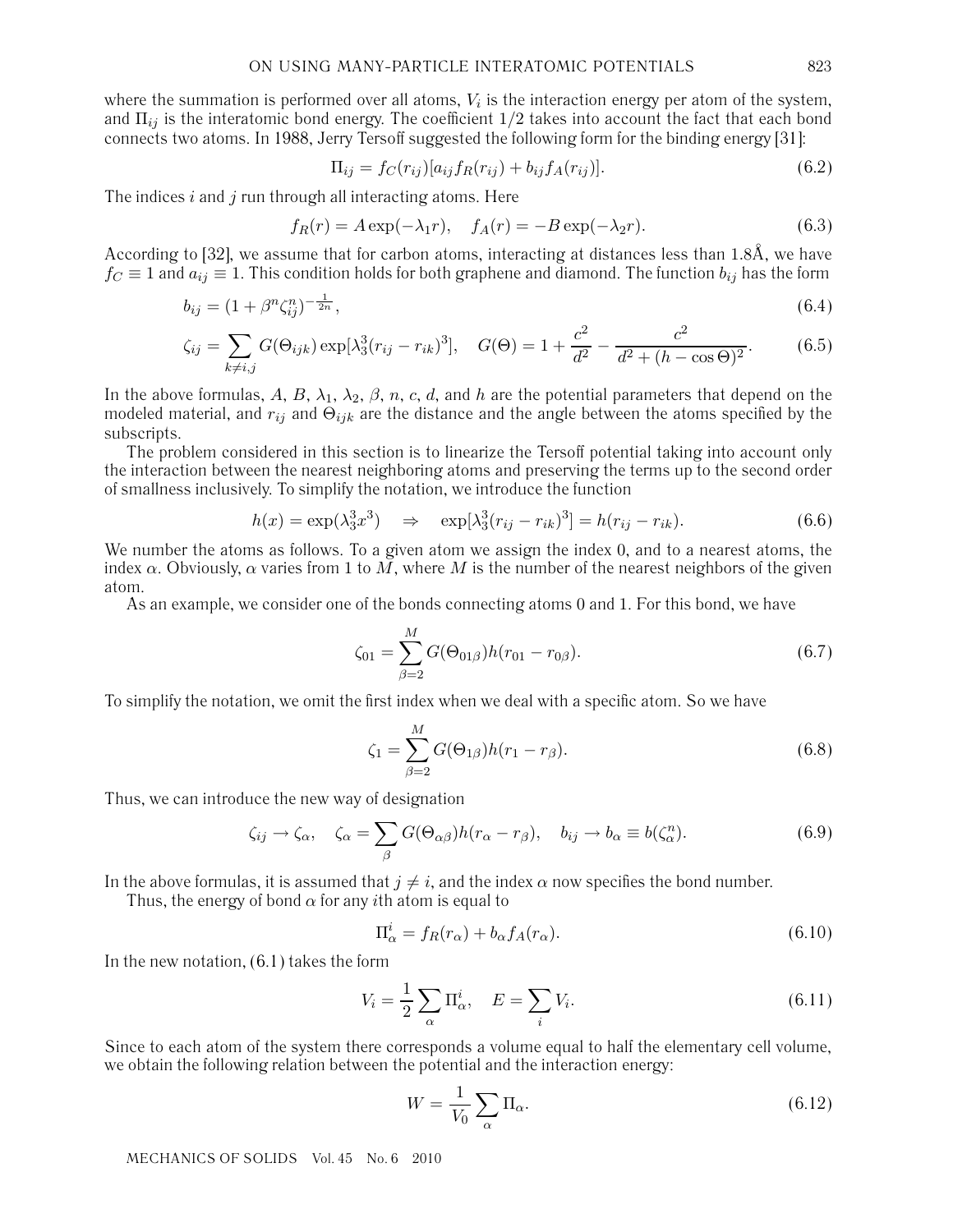where the summation is performed over all atoms,  $V_i$  is the interaction energy per atom of the system, and  $\Pi_{ij}$  is the interatomic bond energy. The coefficient  $1/2$  takes into account the fact that each bond connects two atoms. In 1988, Jerry Tersoff suggested the following form for the binding energy [31]:

$$
\Pi_{ij} = f_C(r_{ij}) [a_{ij} f_R(r_{ij}) + b_{ij} f_A(r_{ij})]. \tag{6.2}
$$

The indices  $i$  and  $j$  run through all interacting atoms. Here

$$
f_R(r) = A \exp(-\lambda_1 r), \quad f_A(r) = -B \exp(-\lambda_2 r). \tag{6.3}
$$

According to [32], we assume that for carbon atoms, interacting at distances less than 1.8Å, we have  $f_C \equiv 1$  and  $a_{ij} \equiv 1$ . This condition holds for both graphene and diamond. The function  $b_{ij}$  has the form

$$
b_{ij} = (1 + \beta^n \zeta_{ij}^n)^{-\frac{1}{2n}}, \tag{6.4}
$$

$$
\zeta_{ij} = \sum_{k \neq i,j} G(\Theta_{ijk}) \exp[\lambda_3^3 (r_{ij} - r_{ik})^3], \quad G(\Theta) = 1 + \frac{c^2}{d^2} - \frac{c^2}{d^2 + (h - \cos \Theta)^2}.
$$
 (6.5)

In the above formulas, A, B,  $\lambda_1$ ,  $\lambda_2$ ,  $\beta$ , n, c, d, and h are the potential parameters that depend on the modeled material, and  $r_{ij}$  and  $\Theta_{ijk}$  are the distance and the angle between the atoms specified by the subscripts.

The problem considered in this section is to linearize the Tersoff potential taking into account only the interaction between the nearest neighboring atoms and preserving the terms up to the second order of smallness inclusively. To simplify the notation, we introduce the function

$$
h(x) = \exp(\lambda_3^3 x^3) \quad \Rightarrow \quad \exp[\lambda_3^3 (r_{ij} - r_{ik})^3] = h(r_{ij} - r_{ik}). \tag{6.6}
$$

We number the atoms as follows. To a given atom we assign the index 0, and to a nearest atoms, the index  $\alpha$ . Obviously,  $\alpha$  varies from 1 to M, where M is the number of the nearest neighbors of the given atom.

As an example, we consider one of the bonds connecting atoms 0 and 1. For this bond, we have

$$
\zeta_{01} = \sum_{\beta=2}^{M} G(\Theta_{01\beta}) h(r_{01} - r_{0\beta}).
$$
\n(6.7)

To simplify the notation, we omit the first index when we deal with a specific atom. So we have

$$
\zeta_1 = \sum_{\beta=2}^{M} G(\Theta_{1\beta}) h(r_1 - r_\beta).
$$
\n(6.8)

Thus, we can introduce the new way of designation

$$
\zeta_{ij} \to \zeta_\alpha, \quad \zeta_\alpha = \sum_{\beta} G(\Theta_{\alpha\beta}) h(r_\alpha - r_\beta), \quad b_{ij} \to b_\alpha \equiv b(\zeta_\alpha^n). \tag{6.9}
$$

In the above formulas, it is assumed that  $j \neq i$ , and the index  $\alpha$  now specifies the bond number.

Thus, the energy of bond  $\alpha$  for any *i*th atom is equal to

$$
\Pi_{\alpha}^{i} = f_{R}(r_{\alpha}) + b_{\alpha} f_{A}(r_{\alpha}).
$$
\n(6.10)

In the new notation, (6.1) takes the form

$$
V_i = \frac{1}{2} \sum_{\alpha} \Pi_{\alpha}^i, \quad E = \sum_i V_i.
$$
\n(6.11)

Since to each atom of the system there corresponds a volume equal to half the elementary cell volume, we obtain the following relation between the potential and the interaction energy:

$$
W = \frac{1}{V_0} \sum_{\alpha} \Pi_{\alpha}.
$$
\n(6.12)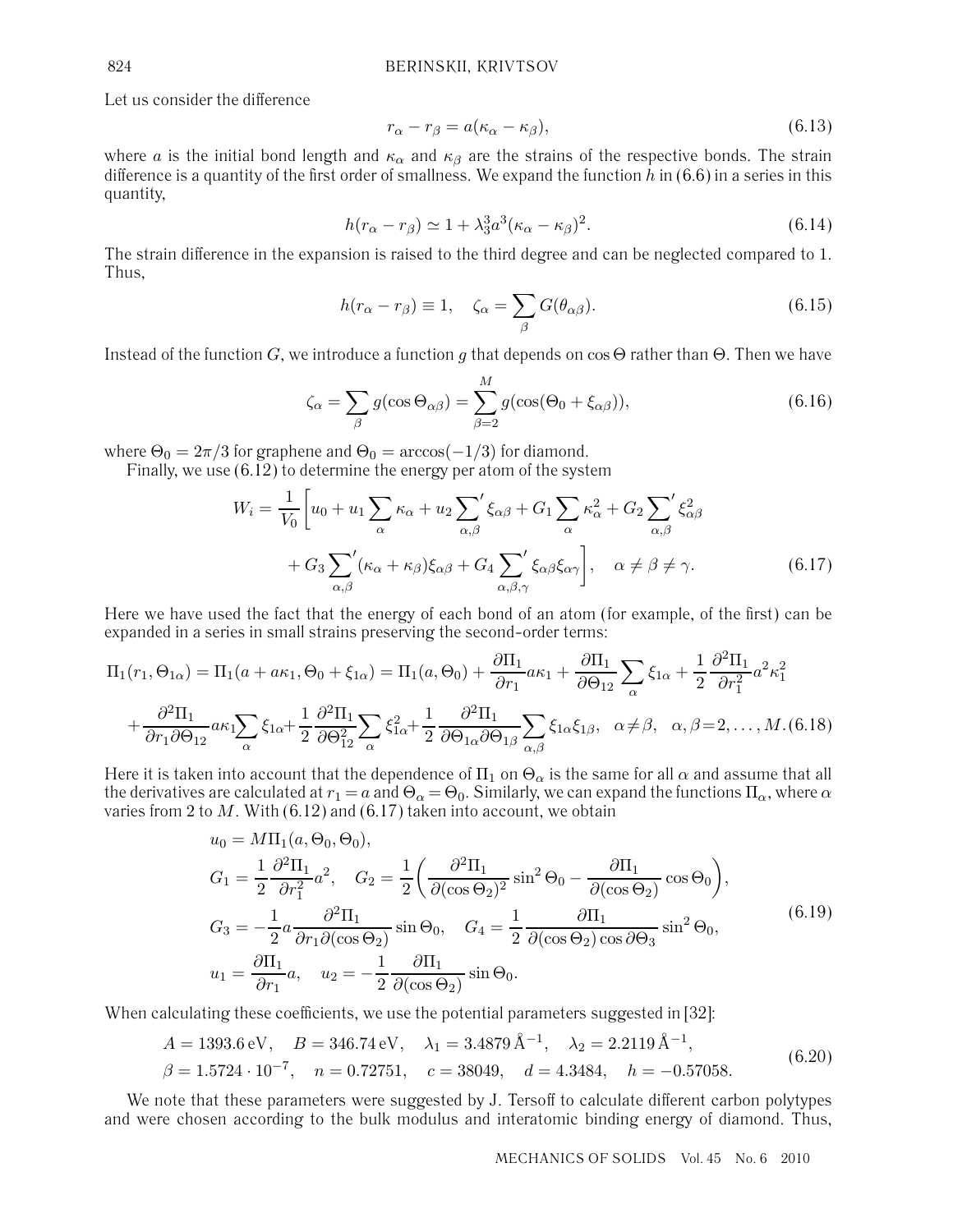Let us consider the difference

$$
r_{\alpha} - r_{\beta} = a(\kappa_{\alpha} - \kappa_{\beta}),\tag{6.13}
$$

where a is the initial bond length and  $\kappa_{\alpha}$  and  $\kappa_{\beta}$  are the strains of the respective bonds. The strain difference is a quantity of the first order of smallness. We expand the function  $h$  in (6.6) in a series in this quantity,

$$
h(r_{\alpha} - r_{\beta}) \simeq 1 + \lambda_3^3 a^3 (\kappa_{\alpha} - \kappa_{\beta})^2. \tag{6.14}
$$

The strain difference in the expansion is raised to the third degree and can be neglected compared to 1. Thus,

$$
h(r_{\alpha} - r_{\beta}) \equiv 1, \quad \zeta_{\alpha} = \sum_{\beta} G(\theta_{\alpha\beta}).
$$
\n(6.15)

Instead of the function G, we introduce a function g that depends on  $\cos \Theta$  rather than  $\Theta$ . Then we have

$$
\zeta_{\alpha} = \sum_{\beta} g(\cos \Theta_{\alpha \beta}) = \sum_{\beta=2}^{M} g(\cos(\Theta_0 + \xi_{\alpha \beta})), \tag{6.16}
$$

where  $\Theta_0 = 2\pi/3$  for graphene and  $\Theta_0 = \arccos(-1/3)$  for diamond.

Finally, we use (6.12) to determine the energy per atom of the system

$$
W_i = \frac{1}{V_0} \left[ u_0 + u_1 \sum_{\alpha} \kappa_{\alpha} + u_2 \sum_{\alpha, \beta}^{\prime} \xi_{\alpha \beta} + G_1 \sum_{\alpha} \kappa_{\alpha}^2 + G_2 \sum_{\alpha, \beta}^{\prime} \xi_{\alpha \beta}^2 + G_3 \sum_{\alpha, \beta}^{\prime} (\kappa_{\alpha} + \kappa_{\beta}) \xi_{\alpha \beta} + G_4 \sum_{\alpha, \beta, \gamma}^{\prime} \xi_{\alpha \beta} \xi_{\alpha \gamma} \right], \quad \alpha \neq \beta \neq \gamma.
$$
 (6.17)

Here we have used the fact that the energy of each bond of an atom (for example, of the first) can be expanded in a series in small strains preserving the second-order terms:

$$
\Pi_1(r_1, \Theta_{1\alpha}) = \Pi_1(a + a\kappa_1, \Theta_0 + \xi_{1\alpha}) = \Pi_1(a, \Theta_0) + \frac{\partial \Pi_1}{\partial r_1} a\kappa_1 + \frac{\partial \Pi_1}{\partial \Theta_{12}} \sum_{\alpha} \xi_{1\alpha} + \frac{1}{2} \frac{\partial^2 \Pi_1}{\partial r_1^2} a^2 \kappa_1^2
$$

$$
+ \frac{\partial^2 \Pi_1}{\partial r_1 \partial \Theta_{12}} a\kappa_1 \sum_{\alpha} \xi_{1\alpha} + \frac{1}{2} \frac{\partial^2 \Pi_1}{\partial \Theta_{12}^2} \sum_{\alpha} \xi_{1\alpha}^2 + \frac{1}{2} \frac{\partial^2 \Pi_1}{\partial \Theta_{1\alpha} \partial \Theta_{1\beta}} \sum_{\alpha,\beta} \xi_{1\alpha} \xi_{1\beta}, \quad \alpha \neq \beta, \quad \alpha, \beta = 2, \dots, M. (6.18)
$$

Here it is taken into account that the dependence of  $\Pi_1$  on  $\Theta_\alpha$  is the same for all  $\alpha$  and assume that all the derivatives are calculated at  $r_1 = a$  and  $\Theta_\alpha = \Theta_0$ . Similarly, we can expand the functions  $\Pi_\alpha$ , where  $\alpha$ varies from 2 to  $M$ . With (6.12) and (6.17) taken into account, we obtain

$$
u_0 = M\Pi_1(a, \Theta_0, \Theta_0),
$$
  
\n
$$
G_1 = \frac{1}{2} \frac{\partial^2 \Pi_1}{\partial r_1^2} a^2, \quad G_2 = \frac{1}{2} \left( \frac{\partial^2 \Pi_1}{\partial (\cos \Theta_2)^2} \sin^2 \Theta_0 - \frac{\partial \Pi_1}{\partial (\cos \Theta_2)} \cos \Theta_0 \right),
$$
  
\n
$$
G_3 = -\frac{1}{2} a \frac{\partial^2 \Pi_1}{\partial r_1 \partial (\cos \Theta_2)} \sin \Theta_0, \quad G_4 = \frac{1}{2} \frac{\partial \Pi_1}{\partial (\cos \Theta_2) \cos \partial \Theta_3} \sin^2 \Theta_0,
$$
  
\n
$$
u_1 = \frac{\partial \Pi_1}{\partial r_1} a, \quad u_2 = -\frac{1}{2} \frac{\partial \Pi_1}{\partial (\cos \Theta_2)} \sin \Theta_0.
$$
  
\n(6.19)

When calculating these coefficients, we use the potential parameters suggested in [32]:

$$
A = 1393.6 \text{ eV}, \quad B = 346.74 \text{ eV}, \quad \lambda_1 = 3.4879 \text{ Å}^{-1}, \quad \lambda_2 = 2.2119 \text{ Å}^{-1}, \beta = 1.5724 \cdot 10^{-7}, \quad n = 0.72751, \quad c = 38049, \quad d = 4.3484, \quad h = -0.57058.
$$
\n
$$
(6.20)
$$

We note that these parameters were suggested by J. Tersoff to calculate different carbon polytypes and were chosen according to the bulk modulus and interatomic binding energy of diamond. Thus,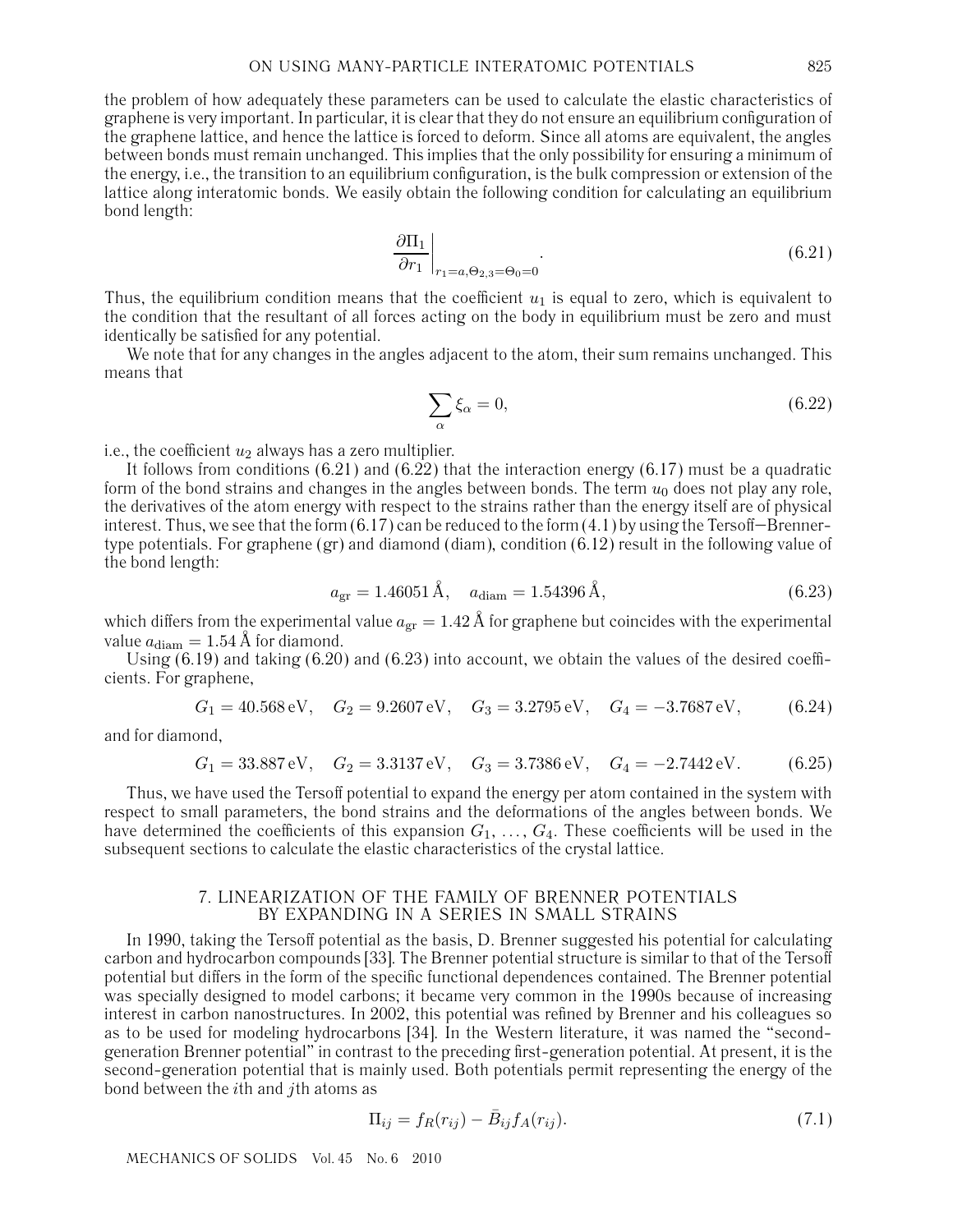the problem of how adequately these parameters can be used to calculate the elastic characteristics of graphene is very important. In particular, it is clear that they do not ensure an equilibrium configuration of the graphene lattice, and hence the lattice is forced to deform. Since all atoms are equivalent, the angles between bonds must remain unchanged. This implies that the only possibility for ensuring a minimum of the energy, i.e., the transition to an equilibrium configuration, is the bulk compression or extension of the lattice along interatomic bonds. We easily obtain the following condition for calculating an equilibrium bond length:

$$
\left. \frac{\partial \Pi_1}{\partial r_1} \right|_{r_1 = a, \Theta_{2,3} = \Theta_0 = 0} . \tag{6.21}
$$

Thus, the equilibrium condition means that the coefficient  $u_1$  is equal to zero, which is equivalent to the condition that the resultant of all forces acting on the body in equilibrium must be zero and must identically be satisfied for any potential.

We note that for any changes in the angles adjacent to the atom, their sum remains unchanged. This means that

$$
\sum_{\alpha} \xi_{\alpha} = 0, \tag{6.22}
$$

i.e., the coefficient  $u_2$  always has a zero multiplier.

It follows from conditions  $(6.21)$  and  $(6.22)$  that the interaction energy  $(6.17)$  must be a quadratic form of the bond strains and changes in the angles between bonds. The term  $u_0$  does not play any role, the derivatives of the atom energy with respect to the strains rather than the energy itself are of physical interest. Thus, we see that the form  $(6.17)$  can be reduced to the form  $(4.1)$  by using the Tersoff–Brennertype potentials. For graphene (gr) and diamond (diam), condition (6.12) result in the following value of the bond length:

$$
a_{\rm gr} = 1.46051 \,\text{\AA}, \quad a_{\rm diam} = 1.54396 \,\text{\AA}, \tag{6.23}
$$

which differs from the experimental value  $a_{\rm gr}=1.42$  Å for graphene but coincides with the experimental value  $a_{\text{diam}} = 1.54 \,\text{\AA}$  for diamond.

Using  $(6.19)$  and taking  $(6.20)$  and  $(6.23)$  into account, we obtain the values of the desired coefficients. For graphene,

$$
G_1 = 40.568 \,\text{eV}, \quad G_2 = 9.2607 \,\text{eV}, \quad G_3 = 3.2795 \,\text{eV}, \quad G_4 = -3.7687 \,\text{eV}, \tag{6.24}
$$

and for diamond,

$$
G_1 = 33.887 \text{ eV}, \quad G_2 = 3.3137 \text{ eV}, \quad G_3 = 3.7386 \text{ eV}, \quad G_4 = -2.7442 \text{ eV}. \tag{6.25}
$$

Thus, we have used the Tersoff potential to expand the energy per atom contained in the system with respect to small parameters, the bond strains and the deformations of the angles between bonds. We have determined the coefficients of this expansion  $G_1, \ldots, G_4$ . These coefficients will be used in the subsequent sections to calculate the elastic characteristics of the crystal lattice.

## 7. LINEARIZATION OF THE FAMILY OF BRENNER POTENTIALS BY EXPANDING IN A SERIES IN SMALL STRAINS

In 1990, taking the Tersoff potential as the basis, D. Brenner suggested his potential for calculating carbon and hydrocarbon compounds [33]. The Brenner potential structure is similar to that of the Tersoff potential but differs in the form of the specific functional dependences contained. The Brenner potential was specially designed to model carbons; it became very common in the 1990s because of increasing interest in carbon nanostructures. In 2002, this potential was refined by Brenner and his colleagues so as to be used for modeling hydrocarbons [34]. In the Western literature, it was named the "secondgeneration Brenner potential" in contrast to the preceding first-generation potential. At present, it is the second-generation potential that is mainly used. Both potentials permit representing the energy of the bond between the *i*th and *j*th atoms as

$$
\Pi_{ij} = f_R(r_{ij}) - \bar{B}_{ij} f_A(r_{ij}).\tag{7.1}
$$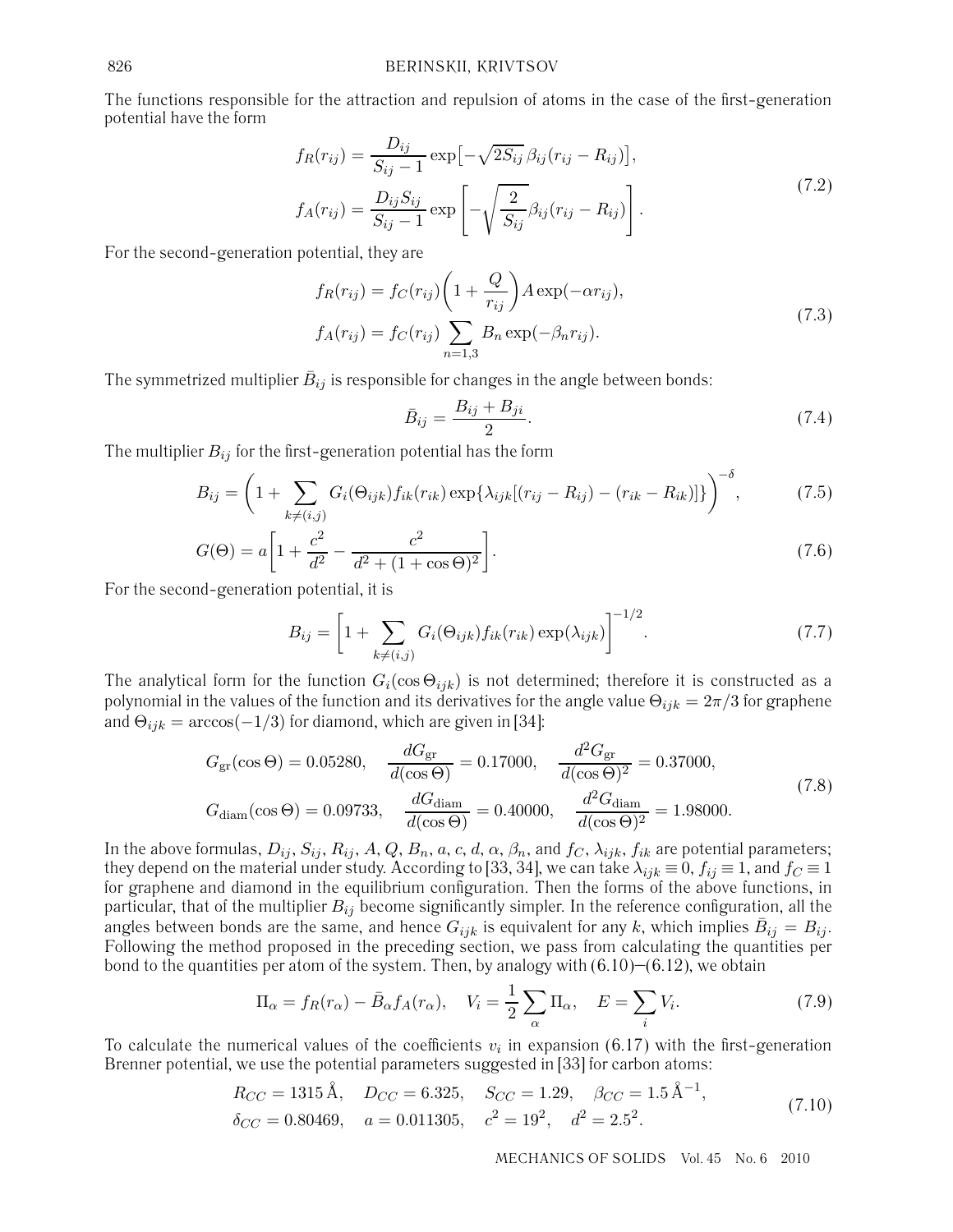The functions responsible for the attraction and repulsion of atoms in the case of the first-generation potential have the form

$$
f_R(r_{ij}) = \frac{D_{ij}}{S_{ij} - 1} \exp\left[-\sqrt{2S_{ij}} \beta_{ij} (r_{ij} - R_{ij})\right],
$$
  
\n
$$
f_A(r_{ij}) = \frac{D_{ij} S_{ij}}{S_{ij} - 1} \exp\left[-\sqrt{\frac{2}{S_{ij}} \beta_{ij} (r_{ij} - R_{ij})}\right].
$$
\n(7.2)

For the second-generation potential, they are

$$
f_R(r_{ij}) = f_C(r_{ij}) \left( 1 + \frac{Q}{r_{ij}} \right) A \exp(-\alpha r_{ij}),
$$
  
\n
$$
f_A(r_{ij}) = f_C(r_{ij}) \sum_{n=1,3} B_n \exp(-\beta_n r_{ij}).
$$
\n(7.3)

The symmetrized multiplier  $\bar{B}_{ij}$  is responsible for changes in the angle between bonds:

$$
\bar{B}_{ij} = \frac{B_{ij} + B_{ji}}{2}.
$$
\n(7.4)

The multiplier  $B_{ij}$  for the first-generation potential has the form

$$
B_{ij} = \left(1 + \sum_{k \neq (i,j)} G_i(\Theta_{ijk}) f_{ik}(r_{ik}) \exp\{\lambda_{ijk} [(r_{ij} - R_{ij}) - (r_{ik} - R_{ik})]\}\right)^{-\delta},\tag{7.5}
$$

$$
G(\Theta) = a \left[ 1 + \frac{c^2}{d^2} - \frac{c^2}{d^2 + (1 + \cos \Theta)^2} \right].
$$
 (7.6)

For the second-generation potential, it is

$$
B_{ij} = \left[1 + \sum_{k \neq (i,j)} G_i(\Theta_{ijk}) f_{ik}(r_{ik}) \exp(\lambda_{ijk})\right]^{-1/2}.
$$
\n(7.7)

The analytical form for the function  $G_i(\cos\Theta_{ijk})$  is not determined; therefore it is constructed as a polynomial in the values of the function and its derivatives for the angle value  $\Theta_{ijk} = 2\pi/3$  for graphene and  $\Theta_{ijk} = \arccos(-1/3)$  for diamond, which are given in [34]:

$$
G_{\rm gr}(\cos \Theta) = 0.05280, \quad \frac{dG_{\rm gr}}{d(\cos \Theta)} = 0.17000, \quad \frac{d^2 G_{\rm gr}}{d(\cos \Theta)^2} = 0.37000,
$$
  

$$
G_{\rm diam}(\cos \Theta) = 0.09733, \quad \frac{dG_{\rm diam}}{d(\cos \Theta)} = 0.40000, \quad \frac{d^2 G_{\rm diam}}{d(\cos \Theta)^2} = 1.98000.
$$
 (7.8)

In the above formulas,  $D_{ij}$ ,  $S_{ij}$ ,  $R_{ij}$ ,  $A$ ,  $Q$ ,  $B_n$ ,  $a$ ,  $c$ ,  $d$ ,  $\alpha$ ,  $\beta_n$ , and  $f_C$ ,  $\lambda_{ijk}$ ,  $f_{ik}$  are potential parameters; they depend on the material under study. According to [33, 34], we can take  $\lambda_{ijk} \equiv 0$ ,  $f_{ij} \equiv 1$ , and  $f_C \equiv 1$ for graphene and diamond in the equilibrium configuration. Then the forms of the above functions, in particular, that of the multiplier  $B_{ij}$  become significantly simpler. In the reference configuration, all the angles between bonds are the same, and hence  $G_{ijk}$  is equivalent for any k, which implies  $\bar{B}_{ij} = B_{ij}$ . Following the method proposed in the preceding section, we pass from calculating the quantities per bond to the quantities per atom of the system. Then, by analogy with (6.10)–(6.12), we obtain

$$
\Pi_{\alpha} = f_R(r_{\alpha}) - \bar{B}_{\alpha} f_A(r_{\alpha}), \quad V_i = \frac{1}{2} \sum_{\alpha} \Pi_{\alpha}, \quad E = \sum_{i} V_i.
$$
 (7.9)

To calculate the numerical values of the coefficients  $v_i$  in expansion (6.17) with the first-generation Brenner potential, we use the potential parameters suggested in [33] for carbon atoms:

$$
R_{CC} = 1315 \text{ Å}, \quad D_{CC} = 6.325, \quad S_{CC} = 1.29, \quad \beta_{CC} = 1.5 \text{ Å}^{-1},
$$
  
\n
$$
\delta_{CC} = 0.80469, \quad a = 0.011305, \quad c^2 = 19^2, \quad d^2 = 2.5^2.
$$
\n(7.10)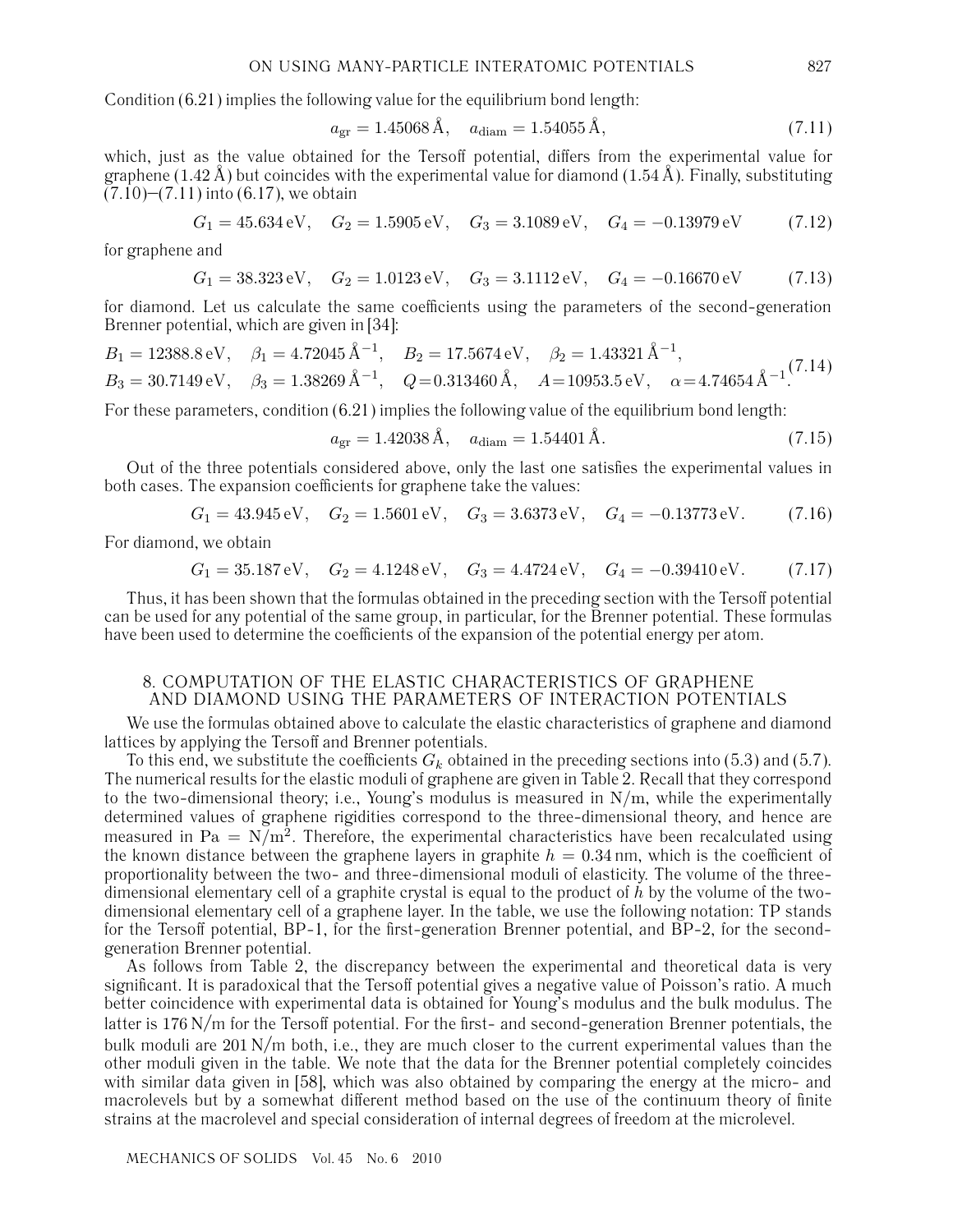Condition (6.21) implies the following value for the equilibrium bond length:

$$
a_{\rm gr} = 1.45068 \,\text{\AA}, \quad a_{\rm diam} = 1.54055 \,\text{\AA}, \tag{7.11}
$$

which, just as the value obtained for the Tersoff potential, differs from the experimental value for graphene  $(1.42 \text{ Å})$  but coincides with the experimental value for diamond  $(1.54 \text{ Å})$ . Finally, substituting  $(7.10)$ – $(7.11)$  into  $(6.17)$ , we obtain

$$
G_1 = 45.634 \,\mathrm{eV}, \quad G_2 = 1.5905 \,\mathrm{eV}, \quad G_3 = 3.1089 \,\mathrm{eV}, \quad G_4 = -0.13979 \,\mathrm{eV} \tag{7.12}
$$

for graphene and

$$
G_1 = 38.323 \,\text{eV}, \quad G_2 = 1.0123 \,\text{eV}, \quad G_3 = 3.1112 \,\text{eV}, \quad G_4 = -0.16670 \,\text{eV} \tag{7.13}
$$

for diamond. Let us calculate the same coefficients using the parameters of the second-generation Brenner potential, which are given in [34]:

$$
B_1 = 12388.8 \text{ eV}, \quad \beta_1 = 4.72045 \text{ Å}^{-1}, \quad B_2 = 17.5674 \text{ eV}, \quad \beta_2 = 1.43321 \text{ Å}^{-1},
$$
  
\n
$$
B_3 = 30.7149 \text{ eV}, \quad \beta_3 = 1.38269 \text{ Å}^{-1}, \quad Q = 0.313460 \text{ Å}, \quad A = 10953.5 \text{ eV}, \quad \alpha = 4.74654 \text{ Å}^{-1}.
$$

For these parameters, condition (6.21) implies the following value of the equilibrium bond length:

$$
a_{\rm gr} = 1.42038 \,\text{\AA}, \quad a_{\rm diam} = 1.54401 \,\text{\AA}.\tag{7.15}
$$

Out of the three potentials considered above, only the last one satisfies the experimental values in both cases. The expansion coefficients for graphene take the values:

 $G_1 = 43.945 \text{ eV}, \quad G_2 = 1.5601 \text{ eV}, \quad G_3 = 3.6373 \text{ eV}, \quad G_4 = -0.13773 \text{ eV}.$  (7.16)

For diamond, we obtain

$$
G_1 = 35.187 \,\text{eV}, \quad G_2 = 4.1248 \,\text{eV}, \quad G_3 = 4.4724 \,\text{eV}, \quad G_4 = -0.39410 \,\text{eV}. \tag{7.17}
$$

Thus, it has been shown that the formulas obtained in the preceding section with the Tersoff potential can be used for any potential of the same group, in particular, for the Brenner potential. These formulas have been used to determine the coefficients of the expansion of the potential energy per atom.

## 8. COMPUTATION OF THE ELASTIC CHARACTERISTICS OF GRAPHENE AND DIAMOND USING THE PARAMETERS OF INTERACTION POTENTIALS

We use the formulas obtained above to calculate the elastic characteristics of graphene and diamond lattices by applying the Tersoff and Brenner potentials.

To this end, we substitute the coefficients  $G_k$  obtained in the preceding sections into (5.3) and (5.7). The numerical results for the elastic moduli of graphene are given in Table 2. Recall that they correspond to the two-dimensional theory; i.e., Young's modulus is measured in N/m, while the experimentally determined values of graphene rigidities correspond to the three-dimensional theory, and hence are measured in Pa =  $N/m^2$ . Therefore, the experimental characteristics have been recalculated using the known distance between the graphene layers in graphite  $h = 0.34$  nm, which is the coefficient of proportionality between the two- and three-dimensional moduli of elasticity. The volume of the threedimensional elementary cell of a graphite crystal is equal to the product of  $\hbar$  by the volume of the twodimensional elementary cell of a graphene layer. In the table, we use the following notation: TP stands for the Tersoff potential, BP-1, for the first-generation Brenner potential, and BP-2, for the secondgeneration Brenner potential.

As follows from Table 2, the discrepancy between the experimental and theoretical data is very significant. It is paradoxical that the Tersoff potential gives a negative value of Poisson's ratio. A much better coincidence with experimental data is obtained for Young's modulus and the bulk modulus. The latter is 176 N/m for the Tersoff potential. For the first- and second-generation Brenner potentials, the bulk moduli are 201 N/m both, i.e., they are much closer to the current experimental values than the other moduli given in the table. We note that the data for the Brenner potential completely coincides with similar data given in [58], which was also obtained by comparing the energy at the micro- and macrolevels but by a somewhat different method based on the use of the continuum theory of finite strains at the macrolevel and special consideration of internal degrees of freedom at the microlevel.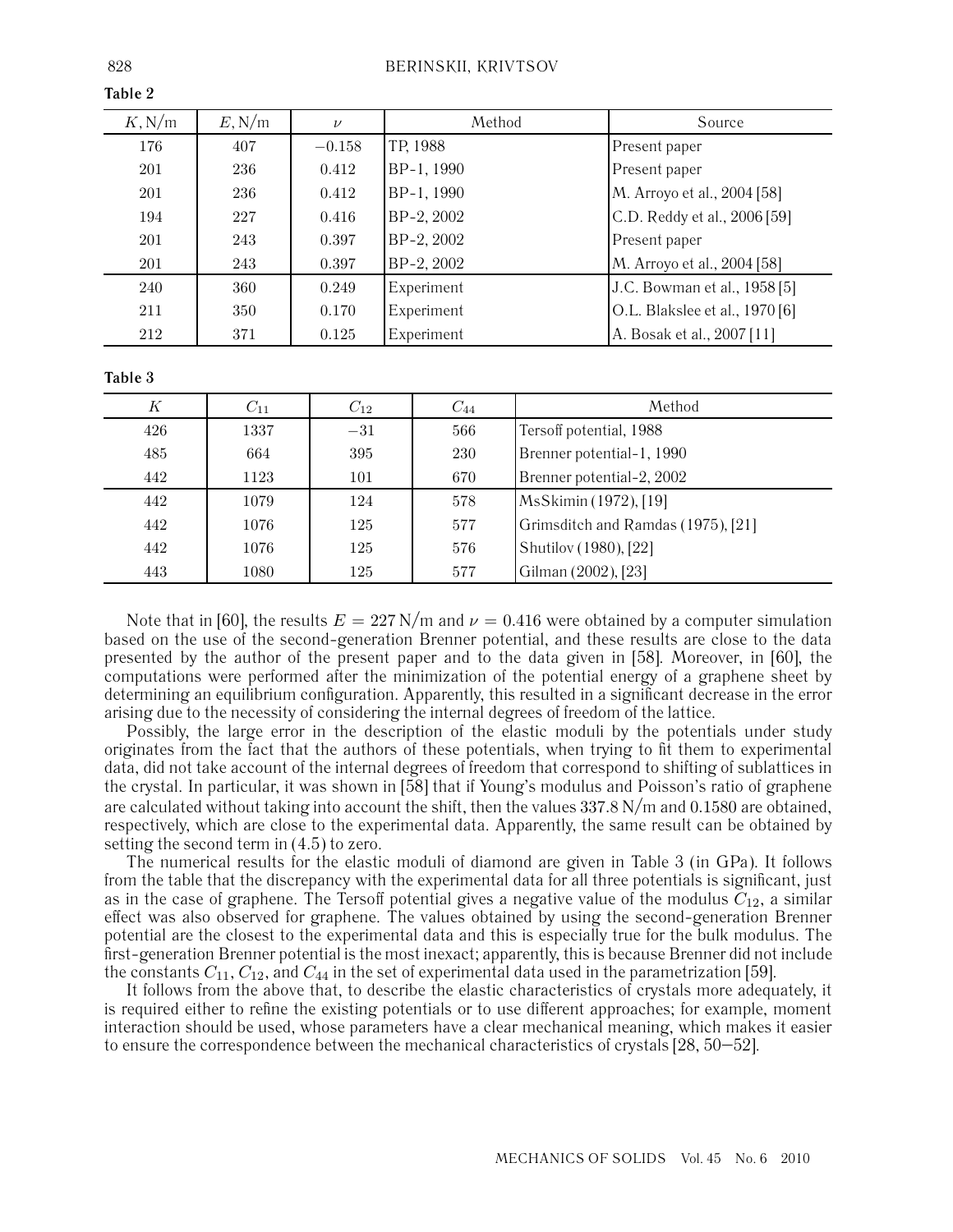| $K$ , N/m | E, N/m | $\nu$    | Method     | Source                         |
|-----------|--------|----------|------------|--------------------------------|
| 176       | 407    | $-0.158$ | TP, 1988   | Present paper                  |
| 201       | 236    | 0.412    | BP-1, 1990 | Present paper                  |
| 201       | 236    | 0.412    | BP-1, 1990 | M. Arroyo et al., 2004 [58]    |
| 194       | 227    | 0.416    | BP-2, 2002 | C.D. Reddy et al., 2006 [59]   |
| 201       | 243    | 0.397    | BP-2, 2002 | Present paper                  |
| 201       | 243    | 0.397    | BP-2, 2002 | M. Arroyo et al., 2004 [58]    |
| 240       | 360    | 0.249    | Experiment | J.C. Bowman et al., 1958 [5]   |
| 211       | 350    | 0.170    | Experiment | O.L. Blakslee et al., 1970 [6] |
| 212       | 371    | 0.125    | Experiment | A. Bosak et al., 2007 [11]     |

**Table 2**

**Table 3**

| К   | $C_{11}$ | $C_{12}$ | $C_{44}$ | Method                             |
|-----|----------|----------|----------|------------------------------------|
| 426 | 1337     | $-31$    | 566      | Tersoff potential, 1988            |
| 485 | 664      | 395      | 230      | Brenner potential-1, 1990          |
| 442 | 1123     | 101      | 670      | Brenner potential-2, 2002          |
| 442 | 1079     | 124      | 578      | MsSkimin (1972), [19]              |
| 442 | 1076     | 125      | 577      | Grimsditch and Ramdas (1975), [21] |
| 442 | 1076     | 125      | 576      | Shutilov (1980), [22]              |
| 443 | 1080     | 125      | 577      | Gilman (2002), [23]                |

Note that in [60], the results  $E = 227 \text{ N/m}$  and  $\nu = 0.416$  were obtained by a computer simulation based on the use of the second-generation Brenner potential, and these results are close to the data presented by the author of the present paper and to the data given in [58]. Moreover, in [60], the computations were performed after the minimization of the potential energy of a graphene sheet by determining an equilibrium configuration. Apparently, this resulted in a significant decrease in the error arising due to the necessity of considering the internal degrees of freedom of the lattice.

Possibly, the large error in the description of the elastic moduli by the potentials under study originates from the fact that the authors of these potentials, when trying to fit them to experimental data, did not take account of the internal degrees of freedom that correspond to shifting of sublattices in the crystal. In particular, it was shown in [58] that if Young's modulus and Poisson's ratio of graphene are calculated without taking into account the shift, then the values 337.8 N/m and 0.1580 are obtained, respectively, which are close to the experimental data. Apparently, the same result can be obtained by setting the second term in  $(4.5)$  to zero.

The numerical results for the elastic moduli of diamond are given in Table 3 (in GPa). It follows from the table that the discrepancy with the experimental data for all three potentials is significant, just as in the case of graphene. The Tersoff potential gives a negative value of the modulus  $C_{12}$ , a similar effect was also observed for graphene. The values obtained by using the second-generation Brenner potential are the closest to the experimental data and this is especially true for the bulk modulus. The first-generation Brenner potential is the most inexact; apparently, this is because Brenner did not include the constants  $C_{11}$ ,  $C_{12}$ , and  $C_{44}$  in the set of experimental data used in the parametrization [59].

It follows from the above that, to describe the elastic characteristics of crystals more adequately, it is required either to refine the existing potentials or to use different approaches; for example, moment interaction should be used, whose parameters have a clear mechanical meaning, which makes it easier to ensure the correspondence between the mechanical characteristics of crystals [28, 50–52].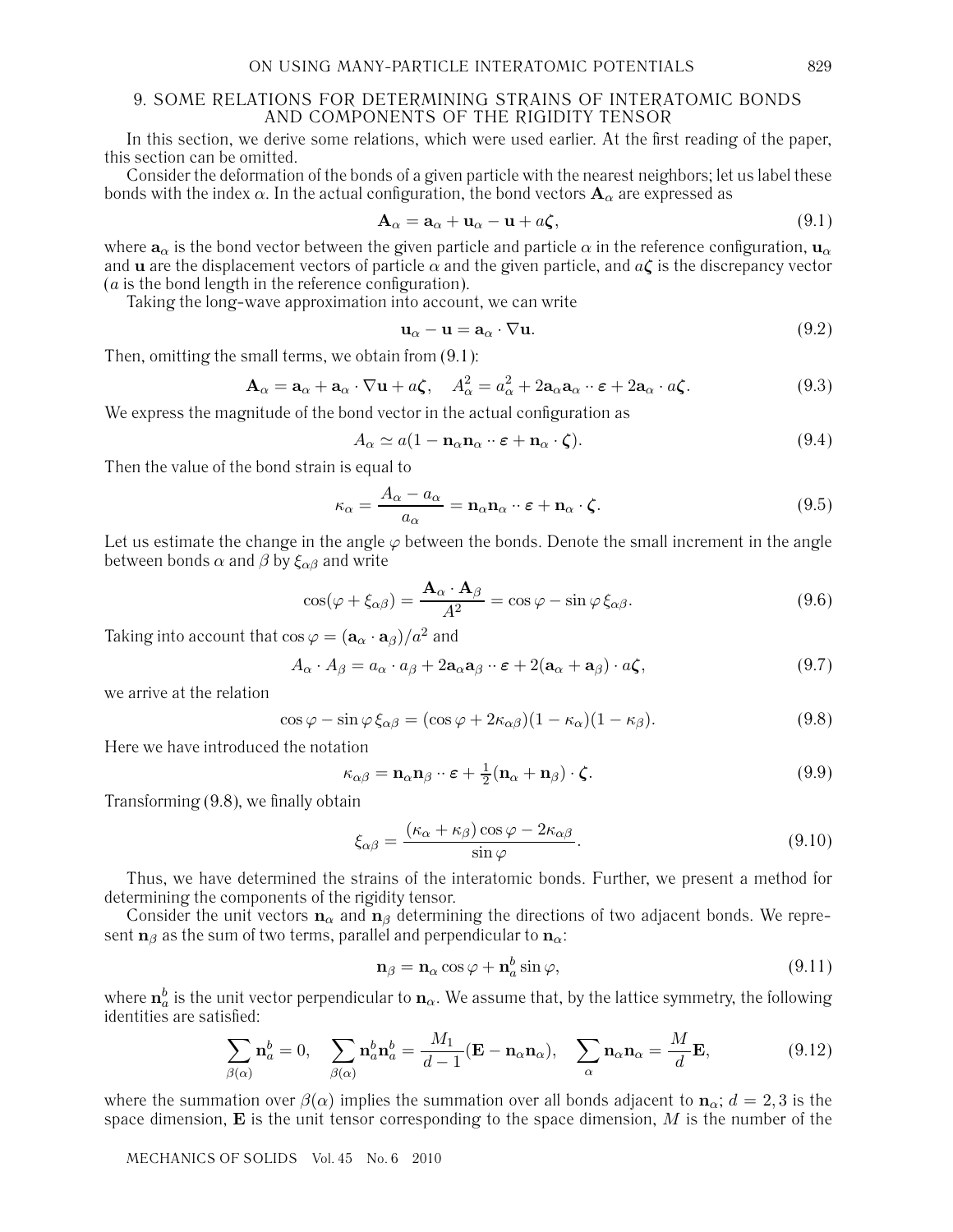### 9. SOME RELATIONS FOR DETERMINING STRAINS OF INTERATOMIC BONDS AND COMPONENTS OF THE RIGIDITY TENSOR

In this section, we derive some relations, which were used earlier. At the first reading of the paper, this section can be omitted.

Consider the deformation of the bonds of a given particle with the nearest neighbors; let us label these bonds with the index  $\alpha$ . In the actual configuration, the bond vectors  $\mathbf{A}_\alpha$  are expressed as

$$
\mathbf{A}_{\alpha} = \mathbf{a}_{\alpha} + \mathbf{u}_{\alpha} - \mathbf{u} + a\boldsymbol{\zeta},\tag{9.1}
$$

where  $a_\alpha$  is the bond vector between the given particle and particle  $\alpha$  in the reference configuration,  $u_\alpha$ and **u** are the displacement vectors of particle  $\alpha$  and the given particle, and  $a\zeta$  is the discrepancy vector (a is the bond length in the reference configuration).

Taking the long-wave approximation into account, we can write

$$
\mathbf{u}_{\alpha} - \mathbf{u} = \mathbf{a}_{\alpha} \cdot \nabla \mathbf{u}.\tag{9.2}
$$

Then, omitting the small terms, we obtain from (9.1):

$$
\mathbf{A}_{\alpha} = \mathbf{a}_{\alpha} + \mathbf{a}_{\alpha} \cdot \nabla \mathbf{u} + a\boldsymbol{\zeta}, \quad A_{\alpha}^{2} = a_{\alpha}^{2} + 2\mathbf{a}_{\alpha}\mathbf{a}_{\alpha} \cdot \boldsymbol{\epsilon} + 2\mathbf{a}_{\alpha} \cdot a\boldsymbol{\zeta}.
$$
 (9.3)

We express the magnitude of the bond vector in the actual configuration as

$$
A_{\alpha} \simeq a(1 - \mathbf{n}_{\alpha}\mathbf{n}_{\alpha} \cdot \boldsymbol{\varepsilon} + \mathbf{n}_{\alpha} \cdot \boldsymbol{\zeta}). \tag{9.4}
$$

Then the value of the bond strain is equal to

$$
\kappa_{\alpha} = \frac{A_{\alpha} - a_{\alpha}}{a_{\alpha}} = \mathbf{n}_{\alpha} \mathbf{n}_{\alpha} \cdot \boldsymbol{\varepsilon} + \mathbf{n}_{\alpha} \cdot \boldsymbol{\zeta}.
$$
 (9.5)

Let us estimate the change in the angle  $\varphi$  between the bonds. Denote the small increment in the angle between bonds  $\alpha$  and  $\beta$  by  $\xi_{\alpha\beta}$  and write

$$
\cos(\varphi + \xi_{\alpha\beta}) = \frac{\mathbf{A}_{\alpha} \cdot \mathbf{A}_{\beta}}{A^2} = \cos\varphi - \sin\varphi \,\xi_{\alpha\beta}.\tag{9.6}
$$

Taking into account that  $\cos \varphi = (\mathbf{a}_{\alpha} \cdot \mathbf{a}_{\beta})/a^2$  and

$$
A_{\alpha} \cdot A_{\beta} = a_{\alpha} \cdot a_{\beta} + 2a_{\alpha}a_{\beta} \cdot \varepsilon + 2(a_{\alpha} + a_{\beta}) \cdot a_{\alpha}, \tag{9.7}
$$

we arrive at the relation

$$
\cos \varphi - \sin \varphi \, \xi_{\alpha\beta} = (\cos \varphi + 2\kappa_{\alpha\beta})(1 - \kappa_{\alpha})(1 - \kappa_{\beta}). \tag{9.8}
$$

Here we have introduced the notation

$$
\kappa_{\alpha\beta} = \mathbf{n}_{\alpha}\mathbf{n}_{\beta}\cdot\boldsymbol{\varepsilon} + \frac{1}{2}(\mathbf{n}_{\alpha} + \mathbf{n}_{\beta})\cdot\boldsymbol{\zeta}.\tag{9.9}
$$

Transforming (9.8), we finally obtain

$$
\xi_{\alpha\beta} = \frac{(\kappa_{\alpha} + \kappa_{\beta})\cos\varphi - 2\kappa_{\alpha\beta}}{\sin\varphi}.
$$
\n(9.10)

Thus, we have determined the strains of the interatomic bonds. Further, we present a method for determining the components of the rigidity tensor.

Consider the unit vectors  $\mathbf{n}_{\alpha}$  and  $\mathbf{n}_{\beta}$  determining the directions of two adjacent bonds. We represent **n**<sub>β</sub> as the sum of two terms, parallel and perpendicular to  $\mathbf{n}_{\alpha}$ :

$$
\mathbf{n}_{\beta} = \mathbf{n}_{\alpha} \cos \varphi + \mathbf{n}_{a}^{b} \sin \varphi, \tag{9.11}
$$

where  $\mathbf{n}_a^b$  is the unit vector perpendicular to  $\mathbf{n}_\alpha.$  We assume that, by the lattice symmetry, the following identities are satisfied:

$$
\sum_{\beta(\alpha)} \mathbf{n}_a^b = 0, \quad \sum_{\beta(\alpha)} \mathbf{n}_a^b \mathbf{n}_a^b = \frac{M_1}{d-1} (\mathbf{E} - \mathbf{n}_\alpha \mathbf{n}_\alpha), \quad \sum_{\alpha} \mathbf{n}_\alpha \mathbf{n}_\alpha = \frac{M}{d} \mathbf{E},
$$
(9.12)

where the summation over  $\beta(\alpha)$  implies the summation over all bonds adjacent to  $\mathbf{n}_{\alpha}$ ;  $d = 2, 3$  is the space dimension,  $\bf{E}$  is the unit tensor corresponding to the space dimension,  $\bf{M}$  is the number of the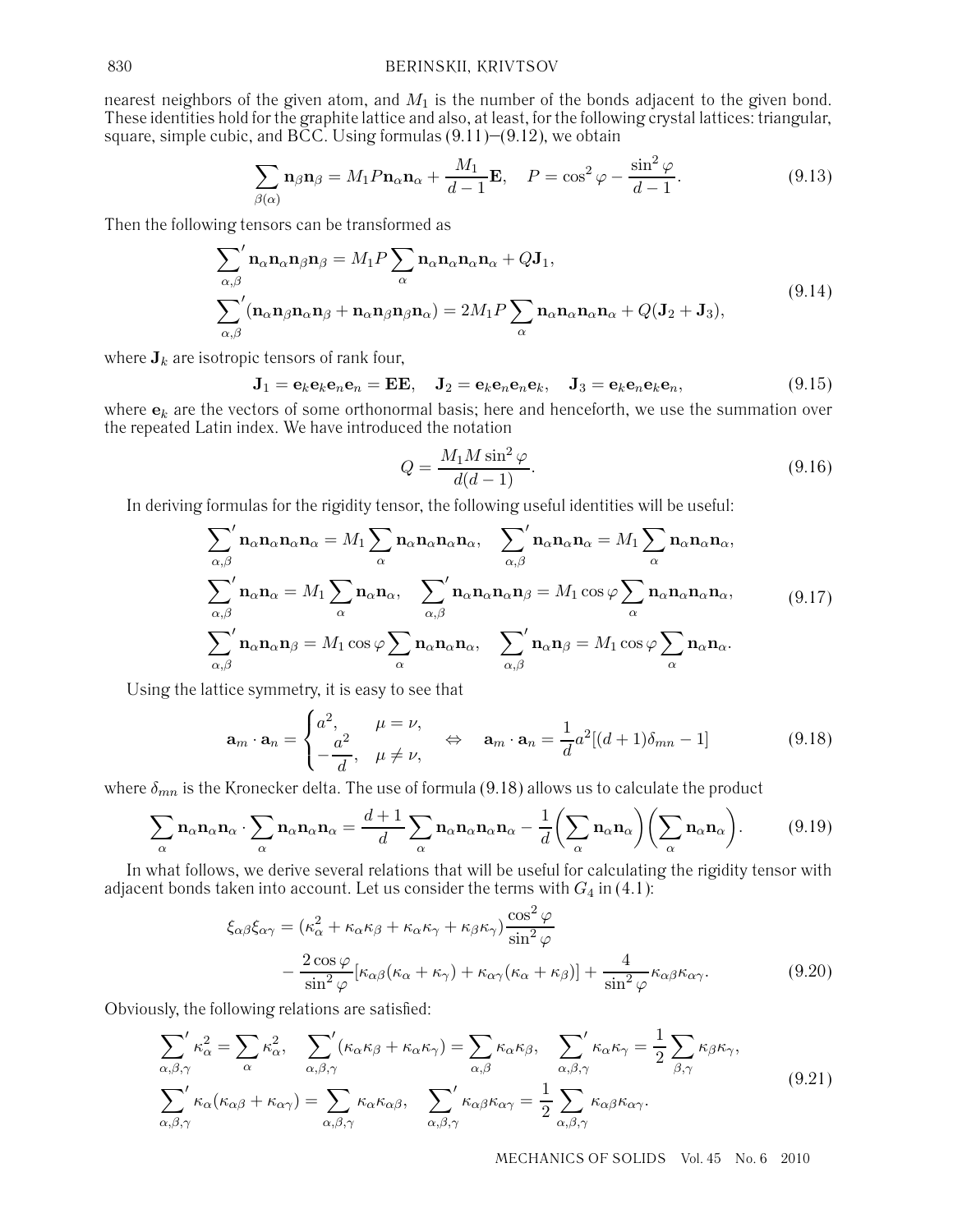nearest neighbors of the given atom, and  $M_1$  is the number of the bonds adjacent to the given bond. These identities hold for the graphite lattice and also, at least, for the following crystal lattices: triangular, square, simple cubic, and BCC. Using formulas  $(9.11)$ – $(9.12)$ , we obtain

$$
\sum_{\beta(\alpha)} \mathbf{n}_{\beta} \mathbf{n}_{\beta} = M_1 P \mathbf{n}_{\alpha} \mathbf{n}_{\alpha} + \frac{M_1}{d-1} \mathbf{E}, \quad P = \cos^2 \varphi - \frac{\sin^2 \varphi}{d-1}.
$$
 (9.13)

Then the following tensors can be transformed as

$$
\sum_{\alpha,\beta}^{\prime} \mathbf{n}_{\alpha} \mathbf{n}_{\beta} \mathbf{n}_{\beta} = M_1 P \sum_{\alpha} \mathbf{n}_{\alpha} \mathbf{n}_{\alpha} \mathbf{n}_{\alpha} + Q \mathbf{J}_1,
$$
\n
$$
\sum_{\alpha,\beta}^{\prime} \left( \mathbf{n}_{\alpha} \mathbf{n}_{\beta} \mathbf{n}_{\alpha} \mathbf{n}_{\beta} + \mathbf{n}_{\alpha} \mathbf{n}_{\beta} \mathbf{n}_{\beta} \mathbf{n}_{\alpha} \right) = 2M_1 P \sum_{\alpha} \mathbf{n}_{\alpha} \mathbf{n}_{\alpha} \mathbf{n}_{\alpha} \mathbf{n}_{\alpha} + Q(\mathbf{J}_2 + \mathbf{J}_3),
$$
\n(9.14)

where  $J_k$  are isotropic tensors of rank four,

$$
\mathbf{J}_1 = \mathbf{e}_k \mathbf{e}_k \mathbf{e}_n \mathbf{e}_n = \mathbf{E} \mathbf{E}, \quad \mathbf{J}_2 = \mathbf{e}_k \mathbf{e}_n \mathbf{e}_n \mathbf{e}_k, \quad \mathbf{J}_3 = \mathbf{e}_k \mathbf{e}_n \mathbf{e}_k \mathbf{e}_n,\tag{9.15}
$$

where  $\mathbf{e}_k$  are the vectors of some orthonormal basis; here and henceforth, we use the summation over the repeated Latin index. We have introduced the notation

$$
Q = \frac{M_1 M \sin^2 \varphi}{d(d-1)}.\tag{9.16}
$$

In deriving formulas for the rigidity tensor, the following useful identities will be useful:

$$
\sum_{\alpha,\beta}' \mathbf{n}_{\alpha} \mathbf{n}_{\alpha} \mathbf{n}_{\alpha} = M_{1} \sum_{\alpha} \mathbf{n}_{\alpha} \mathbf{n}_{\alpha} \mathbf{n}_{\alpha}, \quad \sum_{\alpha,\beta}' \mathbf{n}_{\alpha} \mathbf{n}_{\alpha} \mathbf{n}_{\alpha} = M_{1} \sum_{\alpha} \mathbf{n}_{\alpha} \mathbf{n}_{\alpha} \mathbf{n}_{\alpha},
$$

$$
\sum_{\alpha,\beta}' \mathbf{n}_{\alpha} \mathbf{n}_{\alpha} = M_{1} \sum_{\alpha} \mathbf{n}_{\alpha} \mathbf{n}_{\alpha}, \quad \sum_{\alpha,\beta}' \mathbf{n}_{\alpha} \mathbf{n}_{\alpha} \mathbf{n}_{\alpha} \mathbf{n}_{\beta} = M_{1} \cos \varphi \sum_{\alpha} \mathbf{n}_{\alpha} \mathbf{n}_{\alpha} \mathbf{n}_{\alpha} \mathbf{n}_{\alpha}, \qquad (9.17)
$$

$$
\sum_{\alpha,\beta}' \mathbf{n}_{\alpha} \mathbf{n}_{\alpha} \mathbf{n}_{\beta} = M_{1} \cos \varphi \sum_{\alpha} \mathbf{n}_{\alpha} \mathbf{n}_{\alpha} \mathbf{n}_{\alpha}, \qquad \sum_{\alpha,\beta}' \mathbf{n}_{\alpha} \mathbf{n}_{\beta} = M_{1} \cos \varphi \sum_{\alpha} \mathbf{n}_{\alpha} \mathbf{n}_{\alpha}.
$$

Using the lattice symmetry, it is easy to see that

$$
\mathbf{a}_m \cdot \mathbf{a}_n = \begin{cases} a^2, & \mu = \nu, \\ -\frac{a^2}{d}, & \mu \neq \nu, \end{cases} \Leftrightarrow \mathbf{a}_m \cdot \mathbf{a}_n = \frac{1}{d} a^2 [(d+1)\delta_{mn} - 1]
$$
(9.18)

where  $\delta_{mn}$  is the Kronecker delta. The use of formula (9.18) allows us to calculate the product

$$
\sum_{\alpha} \mathbf{n}_{\alpha} \mathbf{n}_{\alpha} \mathbf{n}_{\alpha} \cdot \sum_{\alpha} \mathbf{n}_{\alpha} \mathbf{n}_{\alpha} \mathbf{n}_{\alpha} = \frac{d+1}{d} \sum_{\alpha} \mathbf{n}_{\alpha} \mathbf{n}_{\alpha} \mathbf{n}_{\alpha} \mathbf{n}_{\alpha} - \frac{1}{d} \left( \sum_{\alpha} \mathbf{n}_{\alpha} \mathbf{n}_{\alpha} \right) \left( \sum_{\alpha} \mathbf{n}_{\alpha} \mathbf{n}_{\alpha} \right). \tag{9.19}
$$

In what follows, we derive several relations that will be useful for calculating the rigidity tensor with adjacent bonds taken into account. Let us consider the terms with  $G_4$  in (4.1):

$$
\xi_{\alpha\beta}\xi_{\alpha\gamma} = (\kappa_{\alpha}^2 + \kappa_{\alpha}\kappa_{\beta} + \kappa_{\alpha}\kappa_{\gamma} + \kappa_{\beta}\kappa_{\gamma})\frac{\cos^2\varphi}{\sin^2\varphi} \n- \frac{2\cos\varphi}{\sin^2\varphi} [\kappa_{\alpha\beta}(\kappa_{\alpha} + \kappa_{\gamma}) + \kappa_{\alpha\gamma}(\kappa_{\alpha} + \kappa_{\beta})] + \frac{4}{\sin^2\varphi} \kappa_{\alpha\beta}\kappa_{\alpha\gamma}.
$$
\n(9.20)

Obviously, the following relations are satisfied:

$$
\sum_{\alpha,\beta,\gamma}^{\prime} \kappa_{\alpha}^{2} = \sum_{\alpha} \kappa_{\alpha}^{2}, \quad \sum_{\alpha,\beta,\gamma}^{\prime} (\kappa_{\alpha}\kappa_{\beta} + \kappa_{\alpha}\kappa_{\gamma}) = \sum_{\alpha,\beta} \kappa_{\alpha}\kappa_{\beta}, \quad \sum_{\alpha,\beta,\gamma}^{\prime} \kappa_{\alpha}\kappa_{\gamma} = \frac{1}{2} \sum_{\beta,\gamma} \kappa_{\beta}\kappa_{\gamma},
$$
\n
$$
\sum_{\alpha,\beta,\gamma}^{\prime} \kappa_{\alpha} (\kappa_{\alpha\beta} + \kappa_{\alpha\gamma}) = \sum_{\alpha,\beta,\gamma} \kappa_{\alpha}\kappa_{\alpha\beta}, \quad \sum_{\alpha,\beta,\gamma}^{\prime} \kappa_{\alpha\beta}\kappa_{\alpha\gamma} = \frac{1}{2} \sum_{\alpha,\beta,\gamma} \kappa_{\alpha\beta}\kappa_{\alpha\gamma}.
$$
\n(9.21)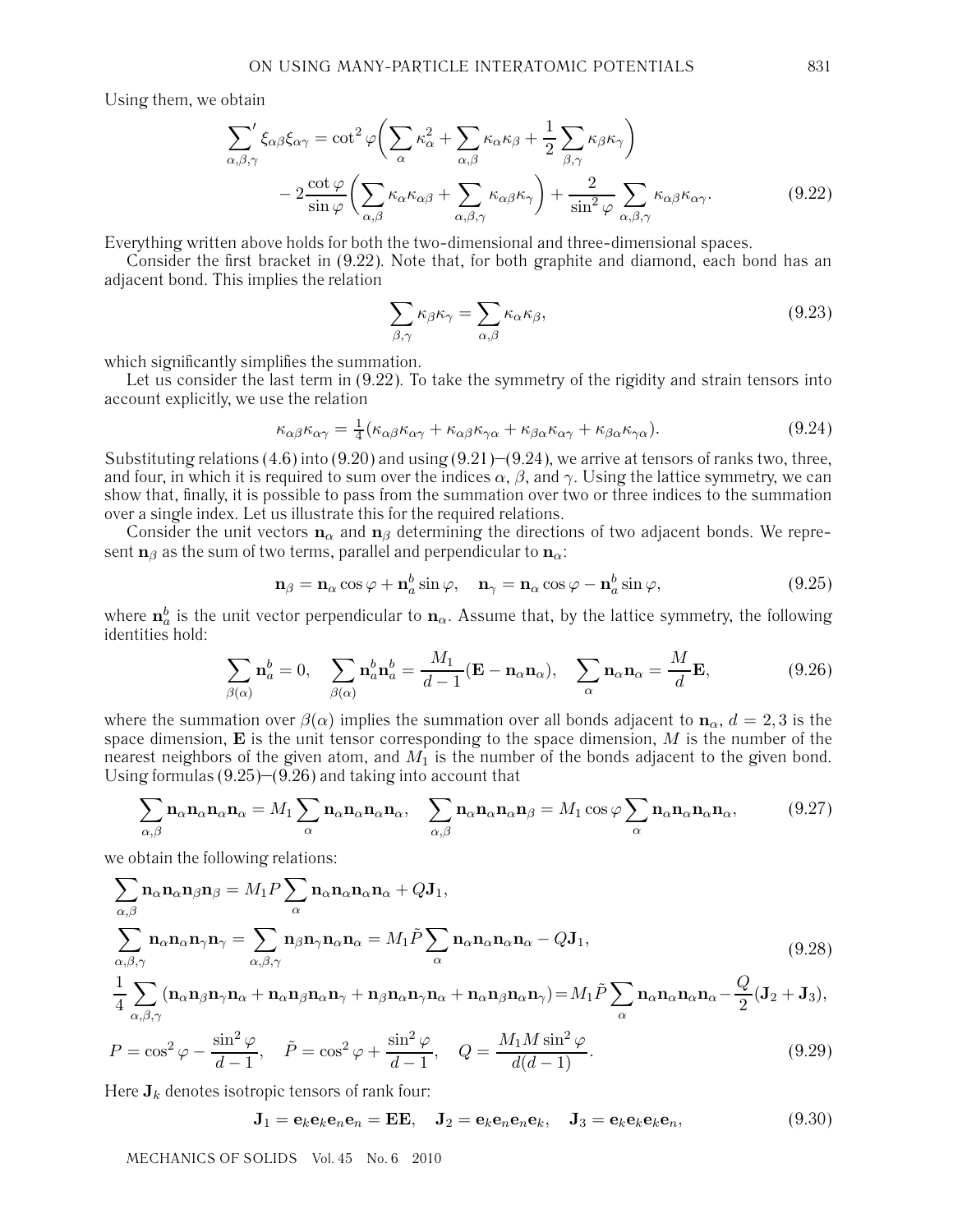Using them, we obtain

$$
\sum_{\alpha,\beta,\gamma}^{\prime} \xi_{\alpha\beta} \xi_{\alpha\gamma} = \cot^2 \varphi \left( \sum_{\alpha} \kappa_{\alpha}^2 + \sum_{\alpha,\beta} \kappa_{\alpha} \kappa_{\beta} + \frac{1}{2} \sum_{\beta,\gamma} \kappa_{\beta} \kappa_{\gamma} \right) - 2 \frac{\cot \varphi}{\sin \varphi} \left( \sum_{\alpha,\beta} \kappa_{\alpha} \kappa_{\alpha\beta} + \sum_{\alpha,\beta,\gamma} \kappa_{\alpha\beta} \kappa_{\gamma} \right) + \frac{2}{\sin^2 \varphi} \sum_{\alpha,\beta,\gamma} \kappa_{\alpha\beta} \kappa_{\alpha\gamma}.
$$
 (9.22)

Everything written above holds for both the two-dimensional and three-dimensional spaces.

Consider the first bracket in (9.22). Note that, for both graphite and diamond, each bond has an adjacent bond. This implies the relation

$$
\sum_{\beta,\gamma} \kappa_{\beta} \kappa_{\gamma} = \sum_{\alpha,\beta} \kappa_{\alpha} \kappa_{\beta},\tag{9.23}
$$

which significantly simplifies the summation.

Let us consider the last term in  $(9.22)$ . To take the symmetry of the rigidity and strain tensors into account explicitly, we use the relation

$$
\kappa_{\alpha\beta}\kappa_{\alpha\gamma} = \frac{1}{4}(\kappa_{\alpha\beta}\kappa_{\alpha\gamma} + \kappa_{\alpha\beta}\kappa_{\gamma\alpha} + \kappa_{\beta\alpha}\kappa_{\alpha\gamma} + \kappa_{\beta\alpha}\kappa_{\gamma\alpha}).\tag{9.24}
$$

Substituting relations  $(4.6)$  into  $(9.20)$  and using  $(9.21)$ – $(9.24)$ , we arrive at tensors of ranks two, three, and four, in which it is required to sum over the indices  $\alpha$ ,  $\beta$ , and  $\gamma$ . Using the lattice symmetry, we can show that, finally, it is possible to pass from the summation over two or three indices to the summation over a single index. Let us illustrate this for the required relations.

Consider the unit vectors  $\mathbf{n}_{\alpha}$  and  $\mathbf{n}_{\beta}$  determining the directions of two adjacent bonds. We represent  $\mathbf{n}_{\beta}$  as the sum of two terms, parallel and perpendicular to  $\mathbf{n}_{\alpha}$ :

$$
\mathbf{n}_{\beta} = \mathbf{n}_{\alpha} \cos \varphi + \mathbf{n}_{a}^{b} \sin \varphi, \quad \mathbf{n}_{\gamma} = \mathbf{n}_{\alpha} \cos \varphi - \mathbf{n}_{a}^{b} \sin \varphi,
$$
(9.25)

where  $\mathbf{n}_a^b$  is the unit vector perpendicular to  $\mathbf{n}_\alpha$ . Assume that, by the lattice symmetry, the following identities hold:

$$
\sum_{\beta(\alpha)} \mathbf{n}_a^b = 0, \quad \sum_{\beta(\alpha)} \mathbf{n}_a^b \mathbf{n}_a^b = \frac{M_1}{d-1} (\mathbf{E} - \mathbf{n}_\alpha \mathbf{n}_\alpha), \quad \sum_{\alpha} \mathbf{n}_\alpha \mathbf{n}_\alpha = \frac{M}{d} \mathbf{E},
$$
(9.26)

where the summation over  $\beta(\alpha)$  implies the summation over all bonds adjacent to  $\mathbf{n}_{\alpha}$ ,  $d = 2, 3$  is the space dimension, **E** is the unit tensor corresponding to the space dimension, M is the number of the nearest neighbors of the given atom, and  $M_1$  is the number of the bonds adjacent to the given bond. Using formulas (9.25)–(9.26) and taking into account that

$$
\sum_{\alpha,\beta} \mathbf{n}_{\alpha} \mathbf{n}_{\alpha} \mathbf{n}_{\alpha} \mathbf{n}_{\alpha} = M_1 \sum_{\alpha} \mathbf{n}_{\alpha} \mathbf{n}_{\alpha} \mathbf{n}_{\alpha} \mathbf{n}_{\alpha}, \quad \sum_{\alpha,\beta} \mathbf{n}_{\alpha} \mathbf{n}_{\alpha} \mathbf{n}_{\alpha} \mathbf{n}_{\beta} = M_1 \cos \varphi \sum_{\alpha} \mathbf{n}_{\alpha} \mathbf{n}_{\alpha} \mathbf{n}_{\alpha} \mathbf{n}_{\alpha}, \tag{9.27}
$$

we obtain the following relations:

$$
\sum_{\alpha,\beta} \mathbf{n}_{\alpha} \mathbf{n}_{\alpha} \mathbf{n}_{\beta} \mathbf{n}_{\beta} = M_1 P \sum_{\alpha} \mathbf{n}_{\alpha} \mathbf{n}_{\alpha} \mathbf{n}_{\alpha} \mathbf{n}_{\alpha} + Q \mathbf{J}_1,
$$
\n
$$
\sum_{\alpha,\beta,\gamma} \mathbf{n}_{\alpha} \mathbf{n}_{\alpha} \mathbf{n}_{\gamma} \mathbf{n}_{\gamma} = \sum_{\alpha,\beta,\gamma} \mathbf{n}_{\beta} \mathbf{n}_{\gamma} \mathbf{n}_{\alpha} \mathbf{n}_{\alpha} = M_1 \tilde{P} \sum_{\alpha} \mathbf{n}_{\alpha} \mathbf{n}_{\alpha} \mathbf{n}_{\alpha} - Q \mathbf{J}_1,
$$
\n(9.28)

$$
\frac{1}{4}\sum_{\alpha,\beta,\gamma}(\mathbf{n}_{\alpha}\mathbf{n}_{\beta}\mathbf{n}_{\gamma}\mathbf{n}_{\alpha}+\mathbf{n}_{\alpha}\mathbf{n}_{\beta}\mathbf{n}_{\alpha}\mathbf{n}_{\gamma}+\mathbf{n}_{\beta}\mathbf{n}_{\alpha}\mathbf{n}_{\gamma}\mathbf{n}_{\alpha}+\mathbf{n}_{\alpha}\mathbf{n}_{\beta}\mathbf{n}_{\alpha}\mathbf{n}_{\gamma})=M_{1}\tilde{P}\sum_{\alpha}\mathbf{n}_{\alpha}\mathbf{n}_{\alpha}\mathbf{n}_{\alpha}\mathbf{n}_{\alpha}-\frac{Q}{2}(\mathbf{J}_{2}+\mathbf{J}_{3}),
$$

$$
P = \cos^2 \varphi - \frac{\sin^2 \varphi}{d-1}, \quad \tilde{P} = \cos^2 \varphi + \frac{\sin^2 \varphi}{d-1}, \quad Q = \frac{M_1 M \sin^2 \varphi}{d(d-1)}.
$$
\n(9.29)

Here  $J_k$  denotes isotropic tensors of rank four:

$$
\mathbf{J}_1 = \mathbf{e}_k \mathbf{e}_k \mathbf{e}_n \mathbf{e}_n = \mathbf{E} \mathbf{E}, \quad \mathbf{J}_2 = \mathbf{e}_k \mathbf{e}_n \mathbf{e}_n \mathbf{e}_k, \quad \mathbf{J}_3 = \mathbf{e}_k \mathbf{e}_k \mathbf{e}_k \mathbf{e}_n,\tag{9.30}
$$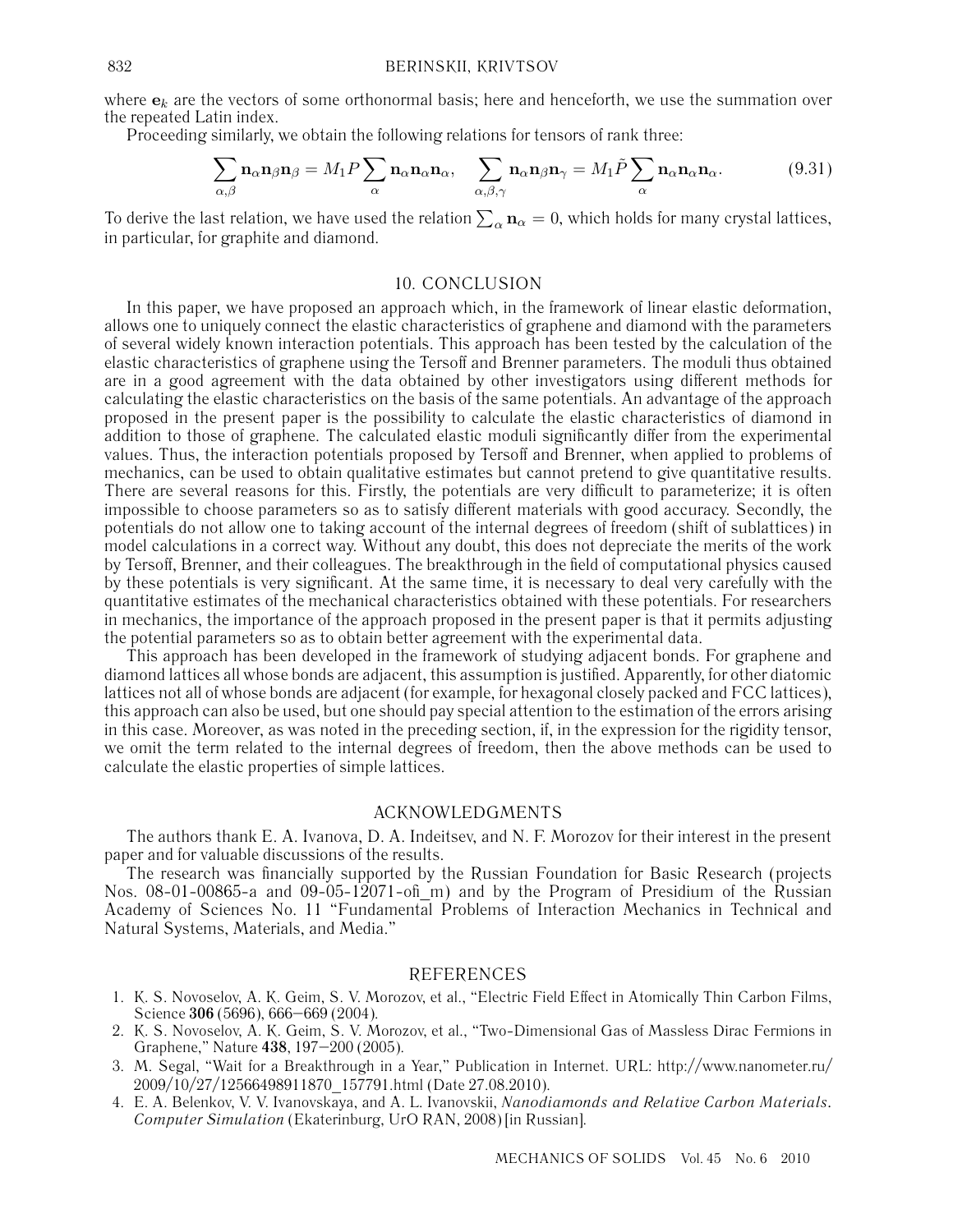where  $\mathbf{e}_k$  are the vectors of some orthonormal basis; here and henceforth, we use the summation over the repeated Latin index.

Proceeding similarly, we obtain the following relations for tensors of rank three:

$$
\sum_{\alpha,\beta} \mathbf{n}_{\alpha} \mathbf{n}_{\beta} \mathbf{n}_{\beta} = M_1 P \sum_{\alpha} \mathbf{n}_{\alpha} \mathbf{n}_{\alpha} \mathbf{n}_{\alpha}, \quad \sum_{\alpha,\beta,\gamma} \mathbf{n}_{\alpha} \mathbf{n}_{\beta} \mathbf{n}_{\gamma} = M_1 \tilde{P} \sum_{\alpha} \mathbf{n}_{\alpha} \mathbf{n}_{\alpha} \mathbf{n}_{\alpha}.
$$
 (9.31)

To derive the last relation, we have used the relation  $\sum_\alpha \mathbf{n}_\alpha=0,$  which holds for many crystal lattices, in particular, for graphite and diamond.

#### 10. CONCLUSION

In this paper, we have proposed an approach which, in the framework of linear elastic deformation, allows one to uniquely connect the elastic characteristics of graphene and diamond with the parameters of several widely known interaction potentials. This approach has been tested by the calculation of the elastic characteristics of graphene using the Tersoff and Brenner parameters. The moduli thus obtained are in a good agreement with the data obtained by other investigators using different methods for calculating the elastic characteristics on the basis of the same potentials. An advantage of the approach proposed in the present paper is the possibility to calculate the elastic characteristics of diamond in addition to those of graphene. The calculated elastic moduli significantly differ from the experimental values. Thus, the interaction potentials proposed by Tersoff and Brenner, when applied to problems of mechanics, can be used to obtain qualitative estimates but cannot pretend to give quantitative results. There are several reasons for this. Firstly, the potentials are very difficult to parameterize; it is often impossible to choose parameters so as to satisfy different materials with good accuracy. Secondly, the potentials do not allow one to taking account of the internal degrees of freedom (shift of sublattices) in model calculations in a correct way. Without any doubt, this does not depreciate the merits of the work by Tersoff, Brenner, and their colleagues. The breakthrough in the field of computational physics caused by these potentials is very significant. At the same time, it is necessary to deal very carefully with the quantitative estimates of the mechanical characteristics obtained with these potentials. For researchers in mechanics, the importance of the approach proposed in the present paper is that it permits adjusting the potential parameters so as to obtain better agreement with the experimental data.

This approach has been developed in the framework of studying adjacent bonds. For graphene and diamond lattices all whose bonds are adjacent, this assumption is justified. Apparently, for other diatomic lattices not all of whose bonds are adjacent (for example, for hexagonal closely packed and FCC lattices), this approach can also be used, but one should pay special attention to the estimation of the errors arising in this case. Moreover, as was noted in the preceding section, if, in the expression for the rigidity tensor, we omit the term related to the internal degrees of freedom, then the above methods can be used to calculate the elastic properties of simple lattices.

## ACKNOWLEDGMENTS

The authors thank E. A. Ivanova, D. A. Indeitsev, and N. F. Morozov for their interest in the present paper and for valuable discussions of the results.

The research was financially supported by the Russian Foundation for Basic Research (projects Nos. 08-01-00865-a and 09-05-12071-ofi<sup>-</sup>m) and by the Program of Presidium of the Russian Academy of Sciences No. 11 "Fundamental Problems of Interaction Mechanics in Technical and Natural Systems, Materials, and Media."

## REFERENCES

- 1. K. S. Novoselov, A. K. Geim, S. V. Morozov, et al., "Electric Field Effect in Atomically Thin Carbon Films, Science **306** (5696), 666–669 (2004).
- 2. K. S. Novoselov, A. K. Geim, S. V. Morozov, et al., "Two-Dimensional Gas of Massless Dirac Fermions in Graphene," Nature **438**, 197–200 (2005).
- 3. M. Segal, "Wait for a Breakthrough in a Year," Publication in Internet. URL: http://www.nanometer.ru/ 2009/10/27/12566498911870\_157791.html (Date 27.08.2010).
- 4. E. A. Belenkov, V. V. Ivanovskaya, and A. L. Ivanovskii, *Nanodiamonds and Relative Carbon Materials. Computer Simulation* (Ekaterinburg, UrO RAN, 2008) [in Russian].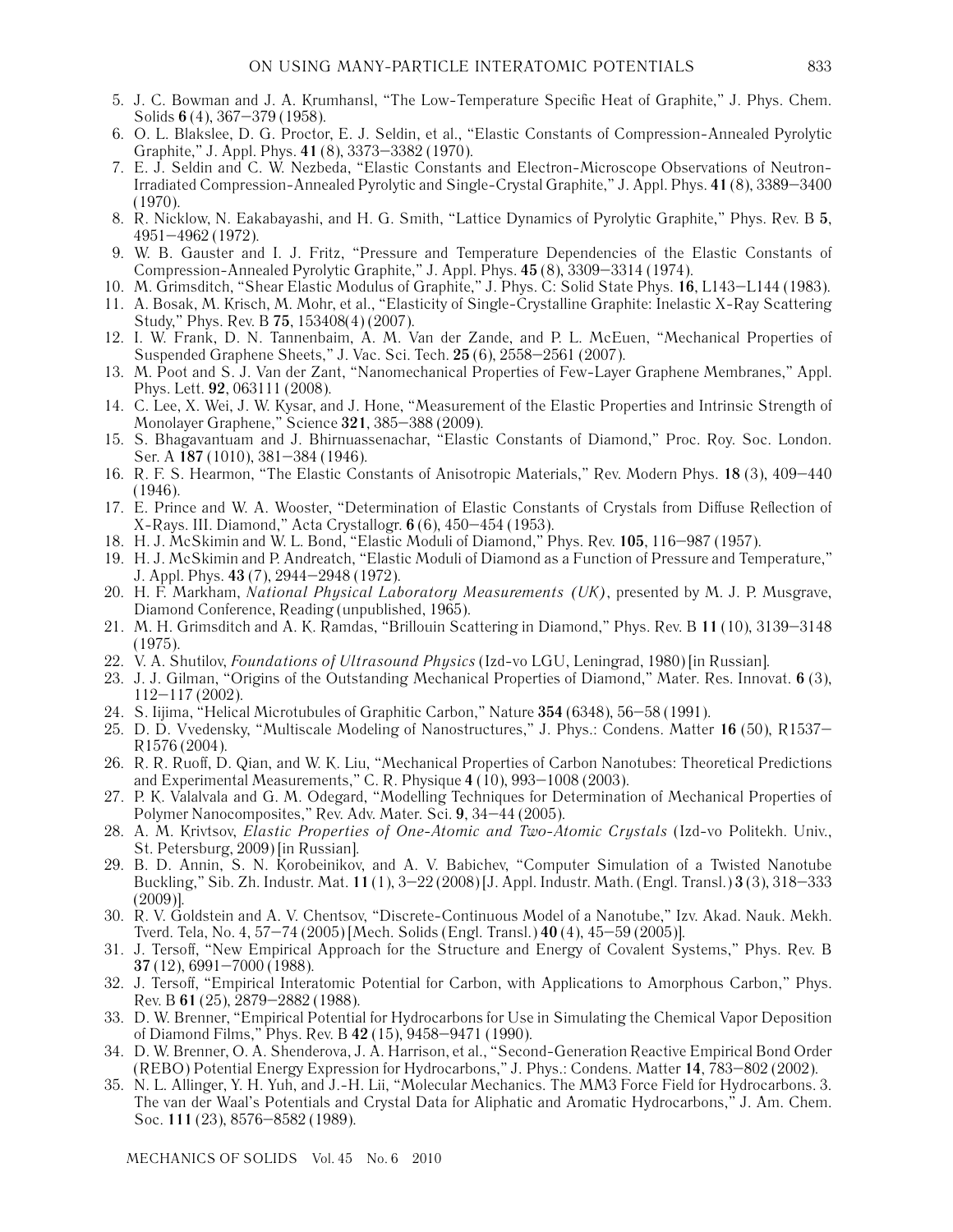- 5. J. C. Bowman and J. A. Krumhansl, "The Low-Temperature Specific Heat of Graphite," J. Phys. Chem. Solids **6** (4), 367–379 (1958).
- 6. O. L. Blakslee, D. G. Proctor, E. J. Seldin, et al., "Elastic Constants of Compression-Annealed Pyrolytic Graphite," J. Appl. Phys. **41** (8), 3373–3382 (1970).
- 7. E. J. Seldin and C. W. Nezbeda, "Elastic Constants and Electron-Microscope Observations of Neutron-Irradiated Compression-Annealed Pyrolytic and Single-Crystal Graphite," J. Appl. Phys. **41** (8), 3389–3400 (1970).
- 8. R. Nicklow, N. Eakabayashi, and H. G. Smith, "Lattice Dynamics of Pyrolytic Graphite," Phys. Rev. B **5**, 4951–4962 (1972).
- 9. W. B. Gauster and I. J. Fritz, "Pressure and Temperature Dependencies of the Elastic Constants of Compression-Annealed Pyrolytic Graphite," J. Appl. Phys. **45** (8), 3309–3314 (1974).
- 10. M. Grimsditch, "Shear Elastic Modulus of Graphite," J. Phys. C: Solid State Phys. **16**, L143–L144 (1983).
- 11. A. Bosak, M. Krisch, M. Mohr, et al., "Elasticity of Single-Crystalline Graphite: Inelastic X-Ray Scattering Study," Phys. Rev. B **75**, 153408(4) (2007).
- 12. I. W. Frank, D. N. Tannenbaim, A. M. Van der Zande, and P. L. McEuen, "Mechanical Properties of Suspended Graphene Sheets," J. Vac. Sci. Tech. **25** (6), 2558–2561 (2007).
- 13. M. Poot and S. J. Van der Zant, "Nanomechanical Properties of Few-Layer Graphene Membranes," Appl. Phys. Lett. **92**, 063111 (2008).
- 14. C. Lee, X. Wei, J. W. Kysar, and J. Hone, "Measurement of the Elastic Properties and Intrinsic Strength of Monolayer Graphene," Science **321**, 385–388 (2009).
- 15. S. Bhagavantuam and J. Bhirnuassenachar, "Elastic Constants of Diamond," Proc. Roy. Soc. London. Ser. A **187** (1010), 381–384 (1946).
- 16. R. F. S. Hearmon, "The Elastic Constants of Anisotropic Materials," Rev. Modern Phys. **18** (3), 409–440 (1946).
- 17. E. Prince and W. A. Wooster, "Determination of Elastic Constants of Crystals from Diffuse Reflection of X-Rays. III. Diamond," Acta Crystallogr. **6** (6), 450–454 (1953).
- 18. H. J. McSkimin and W. L. Bond, "Elastic Moduli of Diamond," Phys. Rev. **105**, 116–987 (1957).
- 19. H. J. McSkimin and P. Andreatch, "Elastic Moduli of Diamond as a Function of Pressure and Temperature," J. Appl. Phys. **43** (7), 2944–2948 (1972).
- 20. H. F. Markham, *National Physical Laboratory Measurements (UK)*, presented by M. J. P. Musgrave, Diamond Conference, Reading (unpublished, 1965).
- 21. M. H. Grimsditch and A. K. Ramdas, "Brillouin Scattering in Diamond," Phys. Rev. B **11** (10), 3139–3148 (1975).
- 22. V. A. Shutilov, *Foundations of Ultrasound Physics* (Izd-vo LGU, Leningrad, 1980) [in Russian].
- 23. J. J. Gilman, "Origins of the Outstanding Mechanical Properties of Diamond," Mater. Res. Innovat. **6** (3), 112–117 (2002).
- 24. S. Iijima, "Helical Microtubules of Graphitic Carbon," Nature **354** (6348), 56–58 (1991).
- 25. D. D. Vvedensky, "Multiscale Modeling of Nanostructures," J. Phys.: Condens. Matter **16** (50), R1537– R1576 (2004).
- 26. R. R. Ruoff, D. Qian, and W. K. Liu, "Mechanical Properties of Carbon Nanotubes: Theoretical Predictions and Experimental Measurements," C. R. Physique **4** (10), 993–1008 (2003).
- 27. P. K. Valalvala and G. M. Odegard, "Modelling Techniques for Determination of Mechanical Properties of Polymer Nanocomposites," Rev. Adv. Mater. Sci. **9**, 34–44 (2005).
- 28. A. M. Krivtsov, *Elastic Properties of One-Atomic and Two-Atomic Crystals* (Izd-vo Politekh. Univ., St. Petersburg, 2009) [in Russian].
- 29. B. D. Annin, S. N. Korobeinikov, and A. V. Babichev, "Computer Simulation of a Twisted Nanotube Buckling," Sib. Zh. Industr. Mat. **11** (1), 3–22 (2008) [J. Appl. Industr. Math. (Engl. Transl.) **3** (3), 318–333 (2009)].
- 30. R. V. Goldstein and A. V. Chentsov, "Discrete-Continuous Model of a Nanotube," Izv. Akad. Nauk. Mekh. Tverd. Tela, No. 4, 57–74 (2005) [Mech. Solids (Engl. Transl.) **40** (4), 45–59 (2005)].
- 31. J. Tersoff, "New Empirical Approach for the Structure and Energy of Covalent Systems," Phys. Rev. B **37** (12), 6991–7000 (1988).
- 32. J. Tersoff, "Empirical Interatomic Potential for Carbon, with Applications to Amorphous Carbon," Phys. Rev. B **61** (25), 2879–2882 (1988).
- 33. D. W. Brenner, "Empirical Potential for Hydrocarbons for Use in Simulating the Chemical Vapor Deposition of Diamond Films," Phys. Rev. B **42** (15), 9458–9471 (1990).
- 34. D. W. Brenner, O. A. Shenderova, J. A. Harrison, et al., "Second-Generation Reactive Empirical Bond Order (REBO) Potential Energy Expression for Hydrocarbons," J. Phys.: Condens. Matter **14**, 783–802 (2002).
- 35. N. L. Allinger, Y. H. Yuh, and J.-H. Lii, "Molecular Mechanics. The MM3 Force Field for Hydrocarbons. 3. The van der Waal's Potentials and Crystal Data for Aliphatic and Aromatic Hydrocarbons," J. Am. Chem. Soc. **111** (23), 8576–8582 (1989).